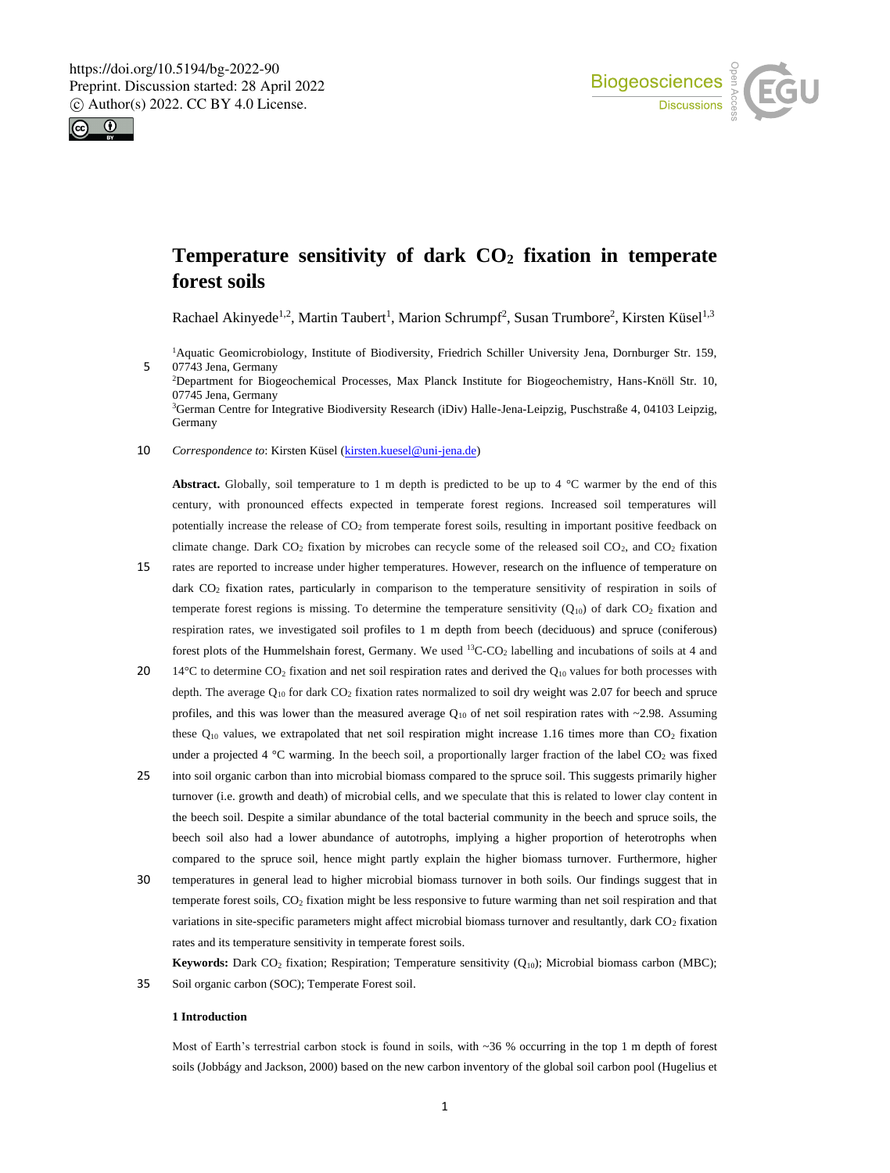



# **Temperature sensitivity of dark CO<sup>2</sup> fixation in temperate forest soils**

Rachael Akinyede<sup>1,2</sup>, Martin Taubert<sup>1</sup>, Marion Schrumpf<sup>2</sup>, Susan Trumbore<sup>2</sup>, Kirsten Küsel<sup>1,3</sup>

Aquatic Geomicrobiology, Institute of Biodiversity, Friedrich Schiller University Jena, Dornburger Str. 159, 07743 Jena, Germany Department for Biogeochemical Processes, Max Planck Institute for Biogeochemistry, Hans-Knöll Str. 10, 07745 Jena, Germany German Centre for Integrative Biodiversity Research (iDiv) Halle-Jena-Leipzig, Puschstraße 4, 04103 Leipzig, Germany

10 *Correspondence to*: Kirsten Küsel (kirsten.kuesel@uni-jena.de)

**Abstract.** Globally, soil temperature to 1 m depth is predicted to be up to 4  $^{\circ}$ C warmer by the end of this century, with pronounced effects expected in temperate forest regions. Increased soil temperatures will potentially increase the release of CO<sup>2</sup> from temperate forest soils, resulting in important positive feedback on climate change. Dark  $CO<sub>2</sub>$  fixation by microbes can recycle some of the released soil  $CO<sub>2</sub>$ , and  $CO<sub>2</sub>$  fixation

- 15 rates are reported to increase under higher temperatures. However, research on the influence of temperature on dark CO<sub>2</sub> fixation rates, particularly in comparison to the temperature sensitivity of respiration in soils of temperate forest regions is missing. To determine the temperature sensitivity  $(Q_{10})$  of dark  $CO<sub>2</sub>$  fixation and respiration rates, we investigated soil profiles to 1 m depth from beech (deciduous) and spruce (coniferous) forest plots of the Hummelshain forest, Germany. We used <sup>13</sup>C-CO<sub>2</sub> labelling and incubations of soils at 4 and
- 20 14°C to determine CO<sub>2</sub> fixation and net soil respiration rates and derived the Q<sub>10</sub> values for both processes with depth. The average  $Q_{10}$  for dark  $CO<sub>2</sub>$  fixation rates normalized to soil dry weight was 2.07 for beech and spruce profiles, and this was lower than the measured average  $Q_{10}$  of net soil respiration rates with ~2.98. Assuming these Q<sub>10</sub> values, we extrapolated that net soil respiration might increase 1.16 times more than CO<sub>2</sub> fixation under a projected 4 °C warming. In the beech soil, a proportionally larger fraction of the label  $CO<sub>2</sub>$  was fixed
- 25 into soil organic carbon than into microbial biomass compared to the spruce soil. This suggests primarily higher turnover (i.e. growth and death) of microbial cells, and we speculate that this is related to lower clay content in the beech soil. Despite a similar abundance of the total bacterial community in the beech and spruce soils, the beech soil also had a lower abundance of autotrophs, implying a higher proportion of heterotrophs when compared to the spruce soil, hence might partly explain the higher biomass turnover. Furthermore, higher
- 30 temperatures in general lead to higher microbial biomass turnover in both soils. Our findings suggest that in temperate forest soils, CO<sup>2</sup> fixation might be less responsive to future warming than net soil respiration and that variations in site-specific parameters might affect microbial biomass turnover and resultantly, dark CO<sub>2</sub> fixation rates and its temperature sensitivity in temperate forest soils.

Keywords: Dark CO<sub>2</sub> fixation; Respiration; Temperature sensitivity (Q<sub>10</sub>); Microbial biomass carbon (MBC); 35 Soil organic carbon (SOC); Temperate Forest soil.

#### **1 Introduction**

Most of Earth's terrestrial carbon stock is found in soils, with ~36 % occurring in the top 1 m depth of forest soils (Jobbágy and Jackson, 2000) based on the new carbon inventory of the global soil carbon pool (Hugelius et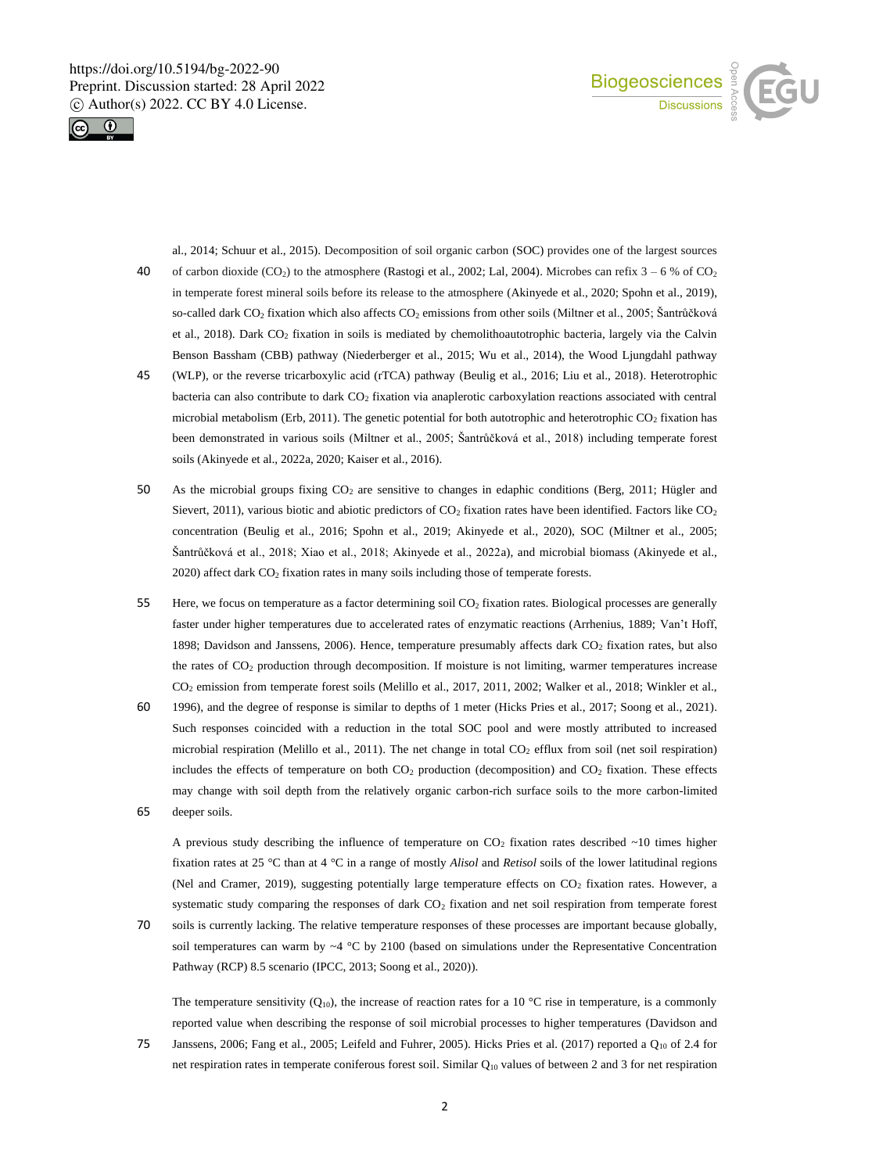



al., 2014; Schuur et al., 2015). Decomposition of soil organic carbon (SOC) provides one of the largest sources 40 of carbon dioxide (CO<sub>2</sub>) to the atmosphere (Rastogi et al., 2002; Lal, 2004). Microbes can refix  $3 - 6$  % of CO<sub>2</sub> in temperate forest mineral soils before its release to the atmosphere (Akinyede et al., 2020; Spohn et al., 2019), so-called dark CO<sub>2</sub> fixation which also affects CO<sub>2</sub> emissions from other soils (Miltner et al., 2005; Šantrůčková et al., 2018). Dark CO<sub>2</sub> fixation in soils is mediated by chemolithoautotrophic bacteria, largely via the Calvin Benson Bassham (CBB) pathway (Niederberger et al., 2015; Wu et al., 2014), the Wood Ljungdahl pathway

- 45 (WLP), or the reverse tricarboxylic acid (rTCA) pathway (Beulig et al., 2016; Liu et al., 2018). Heterotrophic bacteria can also contribute to dark CO<sup>2</sup> fixation via anaplerotic carboxylation reactions associated with central microbial metabolism (Erb, 2011). The genetic potential for both autotrophic and heterotrophic  $CO<sub>2</sub>$  fixation has been demonstrated in various soils (Miltner et al., 2005; Šantrůčková et al., 2018) including temperate forest soils (Akinyede et al., 2022a, 2020; Kaiser et al., 2016).
- 50 As the microbial groups fixing CO<sup>2</sup> are sensitive to changes in edaphic conditions (Berg, 2011; Hügler and Sievert, 2011), various biotic and abiotic predictors of  $CO<sub>2</sub>$  fixation rates have been identified. Factors like  $CO<sub>2</sub>$ concentration (Beulig et al., 2016; Spohn et al., 2019; Akinyede et al., 2020), SOC (Miltner et al., 2005; Šantrůčková et al., 2018; Xiao et al., 2018; Akinyede et al., 2022a), and microbial biomass (Akinyede et al., 2020) affect dark CO<sup>2</sup> fixation rates in many soils including those of temperate forests.
- 55 Here, we focus on temperature as a factor determining soil  $CO<sub>2</sub>$  fixation rates. Biological processes are generally faster under higher temperatures due to accelerated rates of enzymatic reactions (Arrhenius, 1889; Van't Hoff, 1898; Davidson and Janssens, 2006). Hence, temperature presumably affects dark CO<sub>2</sub> fixation rates, but also the rates of CO<sub>2</sub> production through decomposition. If moisture is not limiting, warmer temperatures increase CO<sup>2</sup> emission from temperate forest soils (Melillo et al., 2017, 2011, 2002; Walker et al., 2018; Winkler et al.,
- 60 1996), and the degree of response is similar to depths of 1 meter (Hicks Pries et al., 2017; Soong et al., 2021). Such responses coincided with a reduction in the total SOC pool and were mostly attributed to increased microbial respiration (Melillo et al., 2011). The net change in total  $CO<sub>2</sub>$  efflux from soil (net soil respiration) includes the effects of temperature on both  $CO<sub>2</sub>$  production (decomposition) and  $CO<sub>2</sub>$  fixation. These effects may change with soil depth from the relatively organic carbon-rich surface soils to the more carbon-limited 65 deeper soils.

A previous study describing the influence of temperature on  $CO<sub>2</sub>$  fixation rates described ~10 times higher fixation rates at 25 °C than at 4 °C in a range of mostly *Alisol* and *Retisol* soils of the lower latitudinal regions (Nel and Cramer, 2019), suggesting potentially large temperature effects on  $CO<sub>2</sub>$  fixation rates. However, a systematic study comparing the responses of dark CO<sub>2</sub> fixation and net soil respiration from temperate forest

70 soils is currently lacking. The relative temperature responses of these processes are important because globally, soil temperatures can warm by  $\sim$ 4 °C by 2100 (based on simulations under the Representative Concentration Pathway (RCP) 8.5 scenario (IPCC, 2013; Soong et al., 2020)).

The temperature sensitivity (Q<sub>10</sub>), the increase of reaction rates for a 10 °C rise in temperature, is a commonly reported value when describing the response of soil microbial processes to higher temperatures (Davidson and

75 Janssens, 2006; Fang et al., 2005; Leifeld and Fuhrer, 2005). Hicks Pries et al. (2017) reported a Q<sub>10</sub> of 2.4 for net respiration rates in temperate coniferous forest soil. Similar Q<sub>10</sub> values of between 2 and 3 for net respiration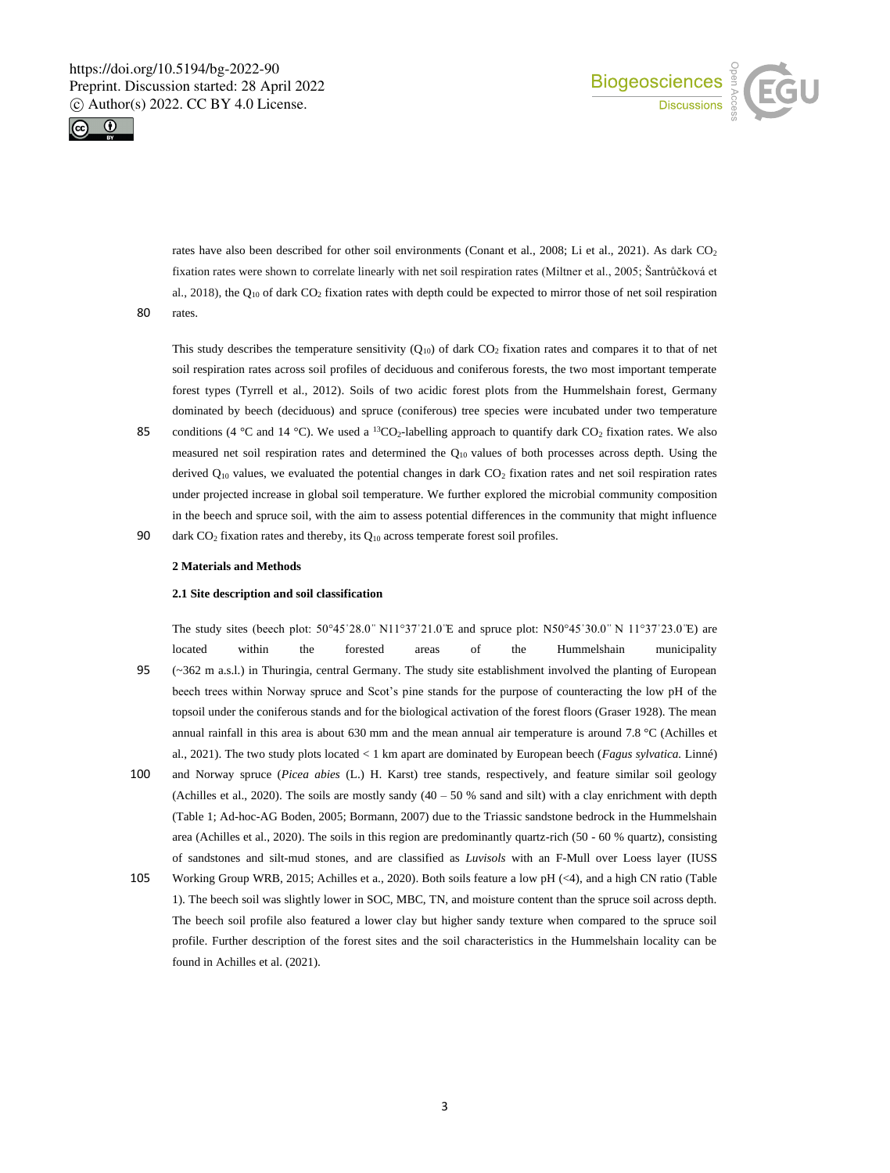



rates have also been described for other soil environments (Conant et al., 2008; Li et al., 2021). As dark CO<sub>2</sub> fixation rates were shown to correlate linearly with net soil respiration rates (Miltner et al., 2005; Šantrůčková et al., 2018), the  $Q_{10}$  of dark  $CO<sub>2</sub>$  fixation rates with depth could be expected to mirror those of net soil respiration 80 rates.

This study describes the temperature sensitivity  $(Q_{10})$  of dark  $CO<sub>2</sub>$  fixation rates and compares it to that of net soil respiration rates across soil profiles of deciduous and coniferous forests, the two most important temperate forest types (Tyrrell et al., 2012). Soils of two acidic forest plots from the Hummelshain forest, Germany dominated by beech (deciduous) and spruce (coniferous) tree species were incubated under two temperature

85 conditions (4 °C and 14 °C). We used a <sup>13</sup>CO<sub>2</sub>-labelling approach to quantify dark CO<sub>2</sub> fixation rates. We also measured net soil respiration rates and determined the  $Q_{10}$  values of both processes across depth. Using the derived  $Q_{10}$  values, we evaluated the potential changes in dark  $CO<sub>2</sub>$  fixation rates and net soil respiration rates under projected increase in global soil temperature. We further explored the microbial community composition in the beech and spruce soil, with the aim to assess potential differences in the community that might influence 90 dark CO<sub>2</sub> fixation rates and thereby, its Q<sub>10</sub> across temperate forest soil profiles.

#### **2 Materials and Methods**

#### **2.1 Site description and soil classification**

The study sites (beech plot: 50°45'28.0" N11°37'21.0 E and spruce plot: N50°45'30.0" N 11°37'23.0 E) are located within the forested areas of the Hummelshain municipality 95 (~362 m a.s.l.) in Thuringia, central Germany. The study site establishment involved the planting of European beech trees within Norway spruce and Scot's pine stands for the purpose of counteracting the low pH of the topsoil under the coniferous stands and for the biological activation of the forest floors (Graser 1928). The mean annual rainfall in this area is about 630 mm and the mean annual air temperature is around 7.8 °C (Achilles et al., 2021). The two study plots located < 1 km apart are dominated by European beech (*Fagus sylvatica.* Linné)

- 100 and Norway spruce (*Picea abies* (L.) H. Karst) tree stands, respectively, and feature similar soil geology (Achilles et al., 2020). The soils are mostly sandy  $(40 - 50\%$  sand and silt) with a clay enrichment with depth (Table 1; Ad-hoc-AG Boden, 2005; Bormann, 2007) due to the Triassic sandstone bedrock in the Hummelshain area (Achilles et al., 2020). The soils in this region are predominantly quartz-rich (50 - 60 % quartz), consisting of sandstones and silt-mud stones, and are classified as *Luvisols* with an F-Mull over Loess layer (IUSS
- 105 Working Group WRB, 2015; Achilles et a., 2020). Both soils feature a low pH (<4), and a high CN ratio (Table 1). The beech soil was slightly lower in SOC, MBC, TN, and moisture content than the spruce soil across depth. The beech soil profile also featured a lower clay but higher sandy texture when compared to the spruce soil profile. Further description of the forest sites and the soil characteristics in the Hummelshain locality can be found in Achilles et al. (2021).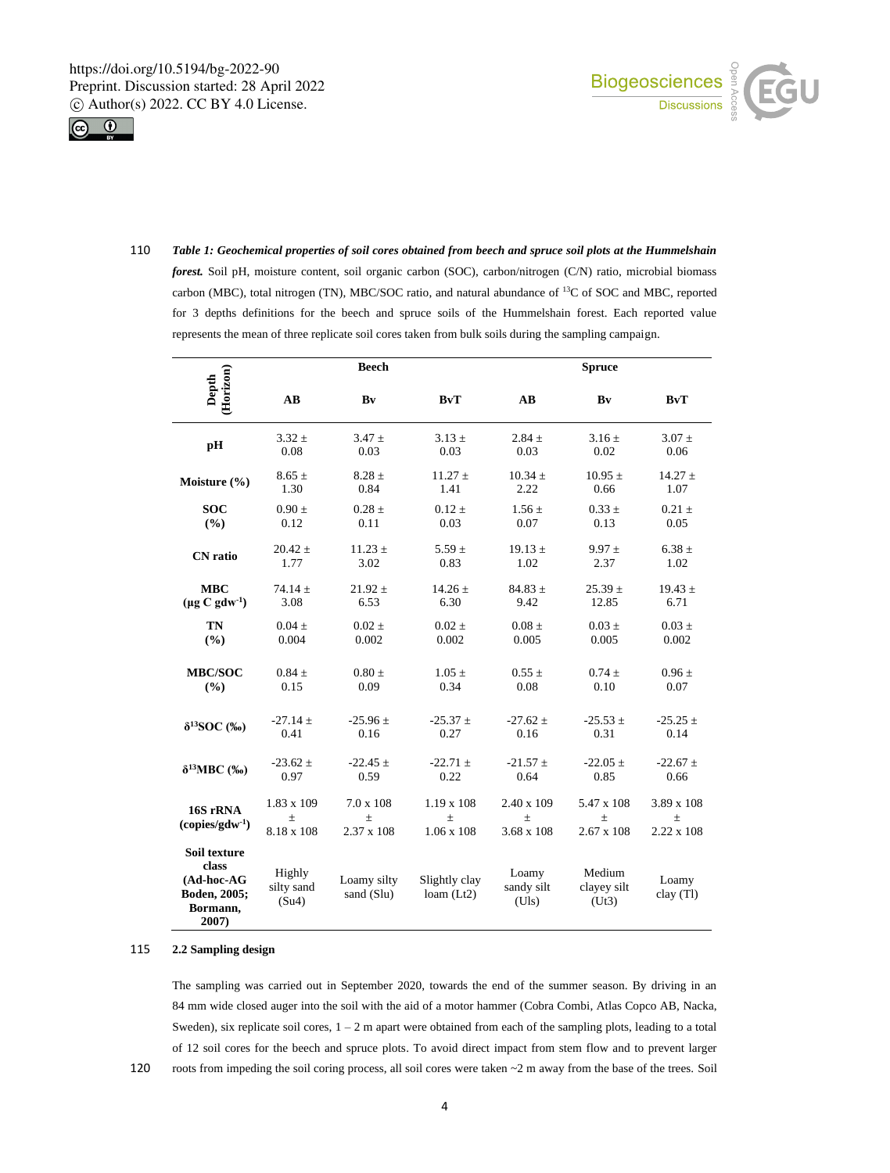



110 *Table 1: Geochemical properties of soil cores obtained from beech and spruce soil plots at the Hummelshain forest.* Soil pH, moisture content, soil organic carbon (SOC), carbon/nitrogen (C/N) ratio, microbial biomass carbon (MBC), total nitrogen (TN), MBC/SOC ratio, and natural abundance of <sup>13</sup>C of SOC and MBC, reported for 3 depths definitions for the beech and spruce soils of the Hummelshain forest. Each reported value represents the mean of three replicate soil cores taken from bulk soils during the sampling campaign.

| (Horizon)<br>Depth                                                       | <b>Beech</b>                      |                                                |                                             | <b>Spruce</b>                            |                                      |                                                 |
|--------------------------------------------------------------------------|-----------------------------------|------------------------------------------------|---------------------------------------------|------------------------------------------|--------------------------------------|-------------------------------------------------|
|                                                                          | $\mathbf{A}\mathbf{B}$            | Bv                                             | <b>BvT</b>                                  | $\mathbf{A}\mathbf{B}$                   | Bv                                   | BvT                                             |
| рH                                                                       | $3.32 \pm$                        | $3.47 +$                                       | $3.13 +$                                    | $2.84 +$                                 | $3.16 +$                             | $3.07 +$                                        |
|                                                                          | $0.08\,$                          | 0.03                                           | 0.03                                        | 0.03                                     | 0.02                                 | 0.06                                            |
| Moisture $(\% )$                                                         | $8.65 \pm$                        | $8.28 \pm$                                     | $11.27 \pm$                                 | $10.34 \pm$                              | $10.95 \pm$                          | $14.27 \pm$                                     |
|                                                                          | 1.30                              | 0.84                                           | 1.41                                        | 2.22                                     | 0.66                                 | 1.07                                            |
| <b>SOC</b>                                                               | $0.90 \pm$                        | $0.28 \pm$                                     | $0.12 \pm$                                  | $1.56 \pm$                               | $0.33 \pm$                           | $0.21 \pm$                                      |
| (%)                                                                      | 0.12                              | 0.11                                           | 0.03                                        | 0.07                                     | 0.13                                 | 0.05                                            |
| <b>CN</b> ratio                                                          | $20.42 \pm$                       | $11.23 \pm$                                    | $5.59 \pm$                                  | $19.13 \pm$                              | $9.97 \pm$                           | $6.38 \pm$                                      |
|                                                                          | 1.77                              | 3.02                                           | 0.83                                        | 1.02                                     | 2.37                                 | 1.02                                            |
| <b>MBC</b>                                                               | 74.14 $\pm$                       | $21.92 \pm$                                    | $14.26 \pm$                                 | $84.83 \pm$                              | $25.39 \pm$                          | $19.43 \pm$                                     |
| $(\mu g C g d w^1)$                                                      | 3.08                              | 6.53                                           | 6.30                                        | 9.42                                     | 12.85                                | 6.71                                            |
| TN                                                                       | $0.04 \pm$                        | $0.02 \pm$                                     | $0.02 \pm$                                  | $0.08 \pm$                               | $0.03 \pm$                           | $0.03 \pm$                                      |
| (%)                                                                      | 0.004                             | 0.002                                          | 0.002                                       | 0.005                                    | 0.005                                | 0.002                                           |
| <b>MBC/SOC</b>                                                           | $0.84 \pm$                        | $0.80 \pm$                                     | $1.05 \pm$                                  | $0.55 \pm$                               | $0.74 \pm$                           | $0.96 \pm$                                      |
| (%)                                                                      | 0.15                              | 0.09                                           | 0.34                                        | 0.08                                     | 0.10                                 | 0.07                                            |
| $\delta^{13}$ SOC (‰)                                                    | $-27.14 \pm$                      | $-25.96 \pm$                                   | $-25.37 \pm$                                | $-27.62 \pm$                             | $-25.53 \pm$                         | $-25.25 \pm$                                    |
|                                                                          | 0.41                              | 0.16                                           | 0.27                                        | 0.16                                     | 0.31                                 | 0.14                                            |
| $\delta^{13}$ MBC (‰)                                                    | $-23.62 \pm$                      | $-22.45 \pm$                                   | $-22.71 \pm$                                | $-21.57 \pm$                             | $-22.05 \pm$                         | $-22.67 +$                                      |
|                                                                          | 0.97                              | 0.59                                           | 0.22                                        | 0.64                                     | 0.85                                 | 0.66                                            |
| 16S rRNA<br>$(copies/gdw-1)$                                             | 1.83 x 109<br>$\pm$<br>8.18 x 108 | $7.0 \times 108$<br>$\pm$<br>$2.37 \times 108$ | $1.19 \times 108$<br>士<br>$1.06 \times 108$ | 2.40 x 109<br>$\pm$<br>$3.68 \times 108$ | 5.47 x 108<br>土<br>$2.67 \times 108$ | $3.89 \times 108$<br>$\pm$<br>$2.22 \times 108$ |
| Soil texture<br>class<br>(Ad-hoc-AG<br>Boden, 2005;<br>Bormann,<br>2007) | Highly<br>silty sand<br>(Su4)     | Loamy silty<br>sand (Slu)                      | Slightly clay<br>loam (Lt2)                 | Loamy<br>sandy silt<br>(Uls)             | Medium<br>clayey silt<br>(Ut3)       | Loamy<br>clay (Tl)                              |

#### 115 **2.2 Sampling design**

The sampling was carried out in September 2020, towards the end of the summer season. By driving in an 84 mm wide closed auger into the soil with the aid of a motor hammer (Cobra Combi, Atlas Copco AB, Nacka, Sweden), six replicate soil cores,  $1 - 2$  m apart were obtained from each of the sampling plots, leading to a total of 12 soil cores for the beech and spruce plots. To avoid direct impact from stem flow and to prevent larger 120 roots from impeding the soil coring process, all soil cores were taken  $\sim$  2 m away from the base of the trees. Soil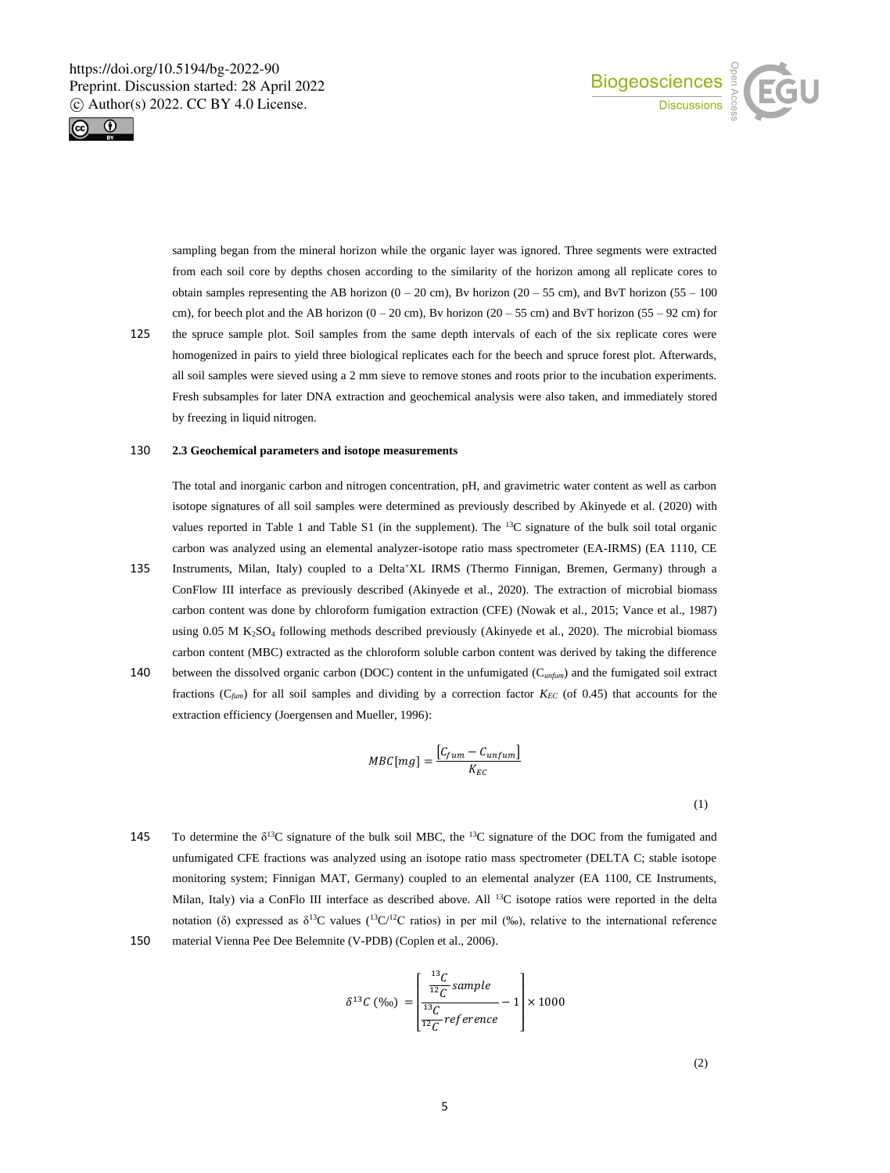



sampling began from the mineral horizon while the organic layer was ignored. Three segments were extracted from each soil core by depths chosen according to the similarity of the horizon among all replicate cores to obtain samples representing the AB horizon  $(0 - 20 \text{ cm})$ , Bv horizon  $(20 - 55 \text{ cm})$ , and BvT horizon  $(55 - 100 \text{ cm})$ cm), for beech plot and the AB horizon  $(0 - 20 \text{ cm})$ , By horizon  $(20 - 55 \text{ cm})$  and ByT horizon  $(55 - 92 \text{ cm})$  for 125 the spruce sample plot. Soil samples from the same depth intervals of each of the six replicate cores were

homogenized in pairs to yield three biological replicates each for the beech and spruce forest plot. Afterwards, all soil samples were sieved using a 2 mm sieve to remove stones and roots prior to the incubation experiments. Fresh subsamples for later DNA extraction and geochemical analysis were also taken, and immediately stored by freezing in liquid nitrogen.

# 130 **2.3 Geochemical parameters and isotope measurements**

The total and inorganic carbon and nitrogen concentration, pH, and gravimetric water content as well as carbon isotope signatures of all soil samples were determined as previously described by Akinyede et al. (2020) with values reported in Table 1 and Table S1 (in the supplement). The <sup>13</sup>C signature of the bulk soil total organic carbon was analyzed using an elemental analyzer-isotope ratio mass spectrometer (EA-IRMS) (EA 1110, CE

- 135 Instruments, Milan, Italy) coupled to a Delta<sup>+</sup>XL IRMS (Thermo Finnigan, Bremen, Germany) through a ConFlow III interface as previously described (Akinyede et al., 2020). The extraction of microbial biomass carbon content was done by chloroform fumigation extraction (CFE) (Nowak et al., 2015; Vance et al., 1987) using 0.05 M K<sub>2</sub>SO<sub>4</sub> following methods described previously (Akinyede et al., 2020). The microbial biomass carbon content (MBC) extracted as the chloroform soluble carbon content was derived by taking the difference
- 140 between the dissolved organic carbon (DOC) content in the unfumigated (C*unfum*) and the fumigated soil extract fractions (C*fum*) for all soil samples and dividing by a correction factor *KEC* (of 0.45) that accounts for the extraction efficiency (Joergensen and Mueller, 1996):

$$
MBC[mg] = \frac{[C_{fum} - C_{unfum}]}{K_{EC}}
$$

(1)

145 To determine the  $\delta^{13}C$  signature of the bulk soil MBC, the  $^{13}C$  signature of the DOC from the fumigated and unfumigated CFE fractions was analyzed using an isotope ratio mass spectrometer (DELTA C; stable isotope monitoring system; Finnigan MAT, Germany) coupled to an elemental analyzer (EA 1100, CE Instruments, Milan, Italy) via a ConFlo III interface as described above. All <sup>13</sup>C isotope ratios were reported in the delta notation (δ) expressed as  $δ<sup>13</sup>C$  values ( $13C/12C$  ratios) in per mil (‰), relative to the international reference 150 material Vienna Pee Dee Belemnite (V-PDB) (Coplen et al., 2006).

$$
\delta^{13}C\left(\%o\right) = \left[\frac{\frac{^{13}C}{^{12}C}sample}{\frac{^{13}C}{^{12}C}reference} - 1\right] \times 1000
$$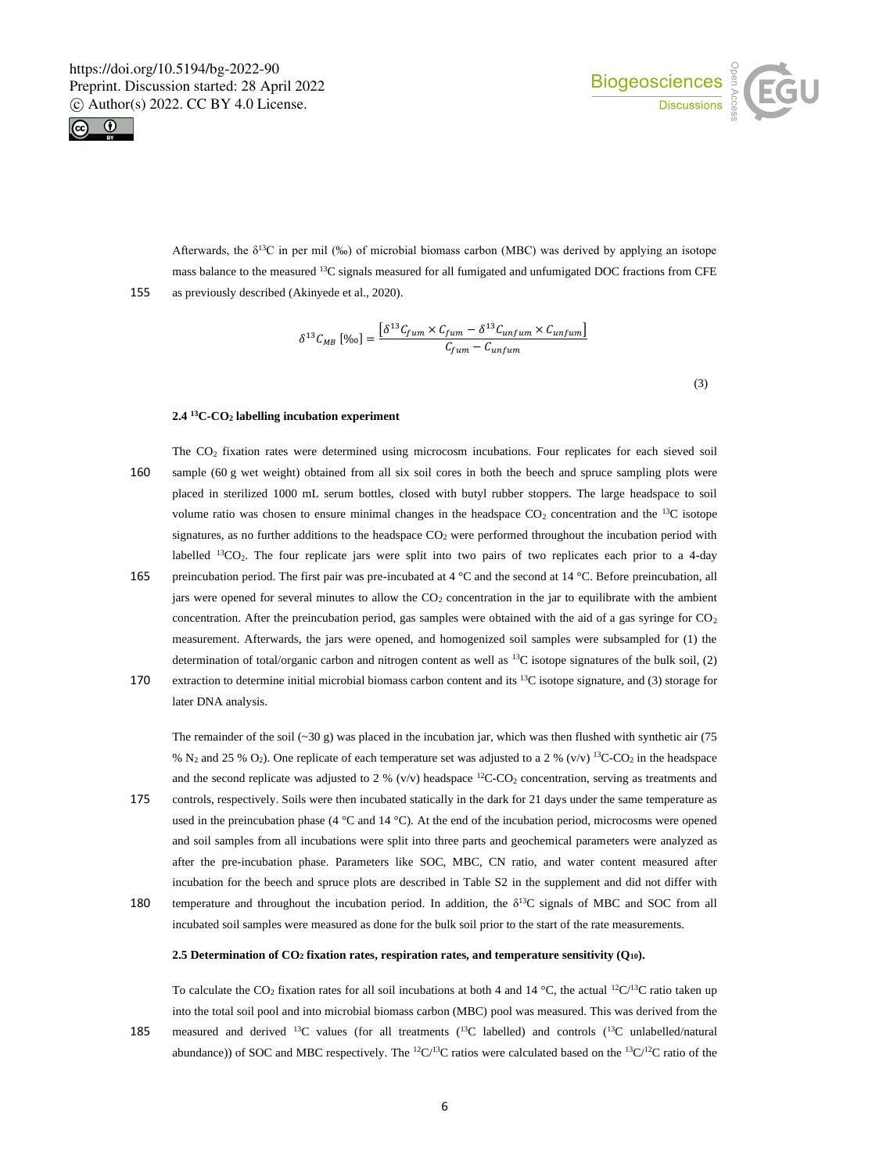



Afterwards, the  $\delta^{13}C$  in per mil (‰) of microbial biomass carbon (MBC) was derived by applying an isotope mass balance to the measured <sup>13</sup>C signals measured for all fumigated and unfumigated DOC fractions from CFE 155 as previously described (Akinyede et al., 2020).

$$
\delta^{13} \mathcal{C}_{MB} \left[ \%{}_0 \right] = \frac{\left[ \delta^{13} \mathcal{C}_{fum} \times \mathcal{C}_{fum} - \delta^{13} \mathcal{C}_{unfum} \times \mathcal{C}_{unfum} \right]}{\mathcal{C}_{fum} - \mathcal{C}_{unfum}}
$$

(3)

#### **2.4 <sup>13</sup>C-CO<sup>2</sup> labelling incubation experiment**

- The CO<sup>2</sup> fixation rates were determined using microcosm incubations. Four replicates for each sieved soil 160 sample (60 g wet weight) obtained from all six soil cores in both the beech and spruce sampling plots were placed in sterilized 1000 mL serum bottles, closed with butyl rubber stoppers. The large headspace to soil volume ratio was chosen to ensure minimal changes in the headspace  $CO<sub>2</sub>$  concentration and the <sup>13</sup>C isotope signatures, as no further additions to the headspace  $CO<sub>2</sub>$  were performed throughout the incubation period with labelled  ${}^{13}CO_2$ . The four replicate jars were split into two pairs of two replicates each prior to a 4-day 165 preincubation period. The first pair was pre-incubated at 4 °C and the second at 14 °C. Before preincubation, all
- jars were opened for several minutes to allow the CO<sub>2</sub> concentration in the jar to equilibrate with the ambient concentration. After the preincubation period, gas samples were obtained with the aid of a gas syringe for  $CO<sub>2</sub>$ measurement. Afterwards, the jars were opened, and homogenized soil samples were subsampled for (1) the determination of total/organic carbon and nitrogen content as well as <sup>13</sup>C isotope signatures of the bulk soil, (2)
- 170 extraction to determine initial microbial biomass carbon content and its  $13C$  isotope signature, and (3) storage for later DNA analysis.

The remainder of the soil (~30 g) was placed in the incubation jar, which was then flushed with synthetic air (75 % N<sub>2</sub> and 25 % O<sub>2</sub>). One replicate of each temperature set was adjusted to a 2 % (v/v) <sup>13</sup>C-CO<sub>2</sub> in the headspace and the second replicate was adjusted to 2 % (v/v) headspace  ${}^{12}$ C-CO<sub>2</sub> concentration, serving as treatments and

- 175 controls, respectively. Soils were then incubated statically in the dark for 21 days under the same temperature as used in the preincubation phase (4 °C and 14 °C). At the end of the incubation period, microcosms were opened and soil samples from all incubations were split into three parts and geochemical parameters were analyzed as after the pre-incubation phase. Parameters like SOC, MBC, CN ratio, and water content measured after incubation for the beech and spruce plots are described in Table S2 in the supplement and did not differ with 180 temperature and throughout the incubation period. In addition, the  $\delta^{13}C$  signals of MBC and SOC from all
- incubated soil samples were measured as done for the bulk soil prior to the start of the rate measurements.

## **2.5 Determination of CO<sup>2</sup> fixation rates, respiration rates, and temperature sensitivity (Q10).**

To calculate the CO<sub>2</sub> fixation rates for all soil incubations at both 4 and 14 °C, the actual <sup>12</sup>C/<sup>13</sup>C ratio taken up into the total soil pool and into microbial biomass carbon (MBC) pool was measured. This was derived from the 185 measured and derived  $^{13}C$  values (for all treatments ( $^{13}C$  labelled) and controls ( $^{13}C$  unlabelled/natural abundance)) of SOC and MBC respectively. The  ${}^{12}C/{}^{13}C$  ratios were calculated based on the  ${}^{13}C/{}^{12}C$  ratio of the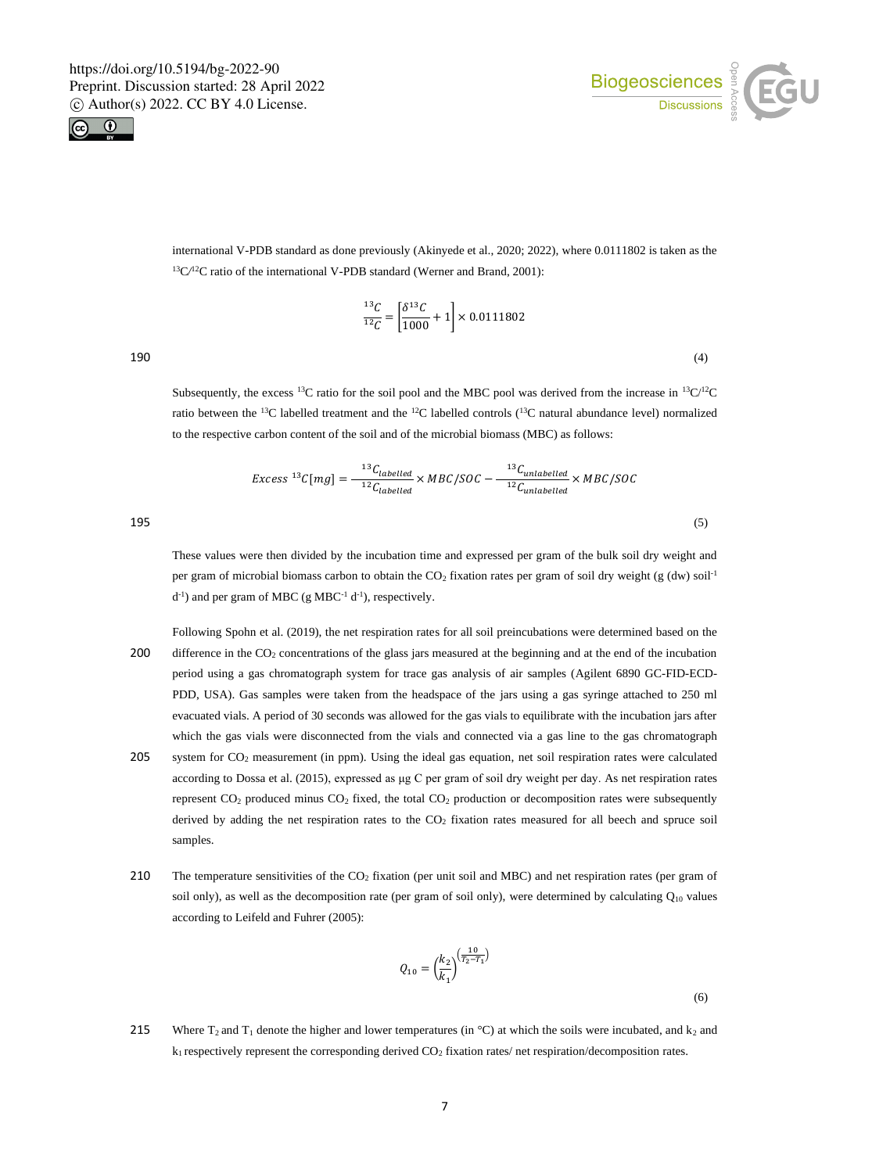



international V-PDB standard as done previously (Akinyede et al., 2020; 2022), where 0.0111802 is taken as the <sup>13</sup>C<sup> $/$ 2</sup>C ratio of the international V-PDB standard (Werner and Brand, 2001):

$$
\frac{^{13}C}{^{12}C} = \left[\frac{\delta^{13}C}{1000} + 1\right] \times 0.0111802
$$

 $190$  (4)

Subsequently, the excess <sup>13</sup>C ratio for the soil pool and the MBC pool was derived from the increase in <sup>13</sup>C/<sup>12</sup>C ratio between the <sup>13</sup>C labelled treatment and the <sup>12</sup>C labelled controls (<sup>13</sup>C natural abundance level) normalized to the respective carbon content of the soil and of the microbial biomass (MBC) as follows:

$$
Excess^{13}C[mg] = \frac{^{13}C_{labelled}}^{12} \times MBC/SOC - \frac{^{13}C_{unlabeled}}^{12} \times MBC/SOC
$$
\n
$$
195 \tag{5}
$$

These values were then divided by the incubation time and expressed per gram of the bulk soil dry weight and per gram of microbial biomass carbon to obtain the  $CO<sub>2</sub>$  fixation rates per gram of soil dry weight (g (dw) soil<sup>-1</sup>  $d^{-1}$ ) and per gram of MBC (g MBC<sup>-1</sup>  $d^{-1}$ ), respectively.

- Following Spohn et al. (2019), the net respiration rates for all soil preincubations were determined based on the 200 difference in the CO<sub>2</sub> concentrations of the glass jars measured at the beginning and at the end of the incubation period using a gas chromatograph system for trace gas analysis of air samples (Agilent 6890 GC-FID-ECD-PDD, USA). Gas samples were taken from the headspace of the jars using a gas syringe attached to 250 ml evacuated vials. A period of 30 seconds was allowed for the gas vials to equilibrate with the incubation jars after which the gas vials were disconnected from the vials and connected via a gas line to the gas chromatograph 205 system for CO<sup>2</sup> measurement (in ppm). Using the ideal gas equation, net soil respiration rates were calculated according to Dossa et al. (2015), expressed as μg C per gram of soil dry weight per day. As net respiration rates represent  $CO_2$  produced minus  $CO_2$  fixed, the total  $CO_2$  production or decomposition rates were subsequently derived by adding the net respiration rates to the  $CO<sub>2</sub>$  fixation rates measured for all beech and spruce soil samples.
- 210 The temperature sensitivities of the  $CO<sub>2</sub>$  fixation (per unit soil and MBC) and net respiration rates (per gram of soil only), as well as the decomposition rate (per gram of soil only), were determined by calculating  $Q_{10}$  values according to Leifeld and Fuhrer (2005):

$$
Q_{10} = \left(\frac{k_2}{k_1}\right)^{\left(\frac{10}{T_2 - T_1}\right)}
$$

(6)

215 Where  $T_2$  and  $T_1$  denote the higher and lower temperatures (in °C) at which the soils were incubated, and  $k_2$  and  $k_1$  respectively represent the corresponding derived  $CO_2$  fixation rates/ net respiration/decomposition rates.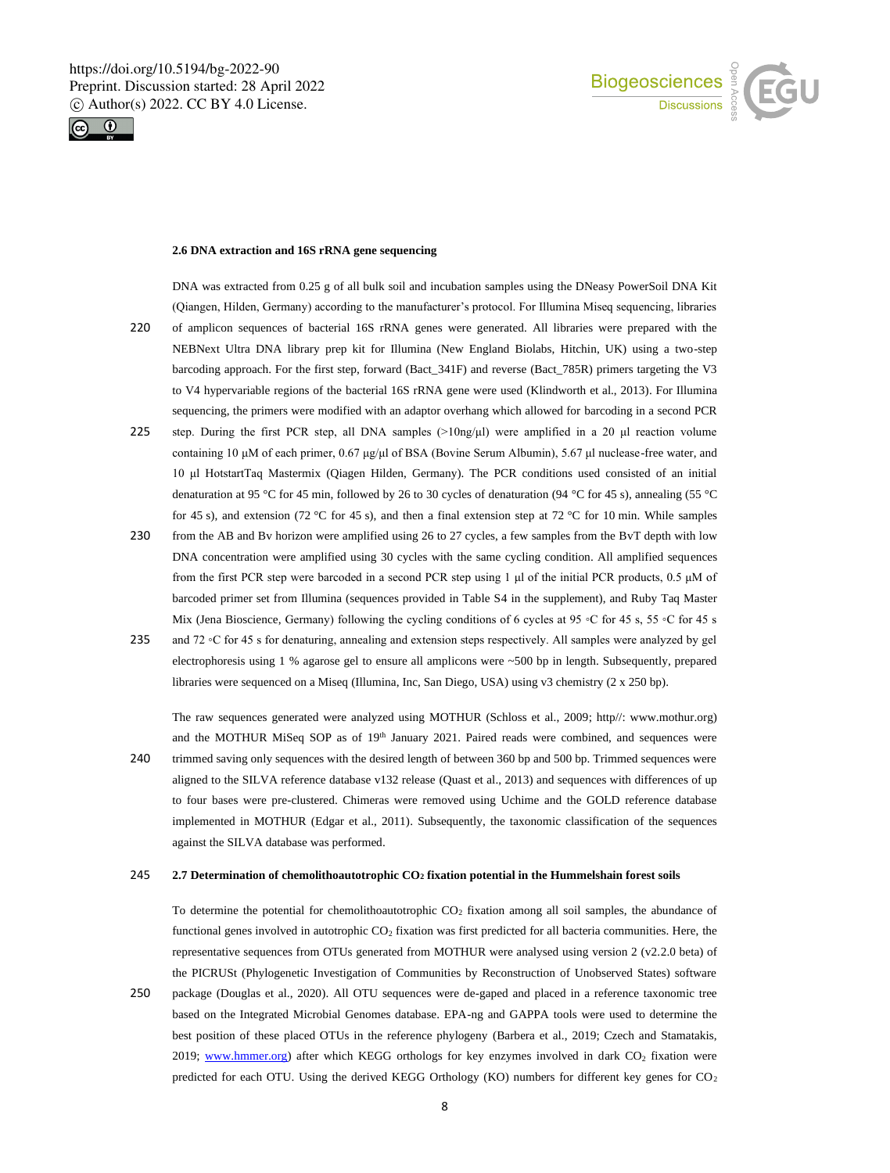



# **2.6 DNA extraction and 16S rRNA gene sequencing**

DNA was extracted from 0.25 g of all bulk soil and incubation samples using the DNeasy PowerSoil DNA Kit (Qiangen, Hilden, Germany) according to the manufacturer's protocol. For Illumina Miseq sequencing, libraries

- 220 of amplicon sequences of bacterial 16S rRNA genes were generated. All libraries were prepared with the NEBNext Ultra DNA library prep kit for Illumina (New England Biolabs, Hitchin, UK) using a two-step barcoding approach. For the first step, forward (Bact\_341F) and reverse (Bact\_785R) primers targeting the V3 to V4 hypervariable regions of the bacterial 16S rRNA gene were used (Klindworth et al., 2013). For Illumina sequencing, the primers were modified with an adaptor overhang which allowed for barcoding in a second PCR
- 225 step. During the first PCR step, all DNA samples (>10ng/μl) were amplified in a 20 μl reaction volume containing 10 μM of each primer, 0.67 μg/μl of BSA (Bovine Serum Albumin), 5.67 μl nuclease-free water, and 10 μl HotstartTaq Mastermix (Qiagen Hilden, Germany). The PCR conditions used consisted of an initial denaturation at 95 °C for 45 min, followed by 26 to 30 cycles of denaturation (94 °C for 45 s), annealing (55 °C for 45 s), and extension (72 °C for 45 s), and then a final extension step at 72 °C for 10 min. While samples
- 230 from the AB and Bv horizon were amplified using 26 to 27 cycles, a few samples from the BvT depth with low DNA concentration were amplified using 30 cycles with the same cycling condition. All amplified sequences from the first PCR step were barcoded in a second PCR step using 1 μl of the initial PCR products, 0.5 μM of barcoded primer set from Illumina (sequences provided in Table S4 in the supplement), and Ruby Taq Master Mix (Jena Bioscience, Germany) following the cycling conditions of 6 cycles at 95 ◦C for 45 s, 55 ◦C for 45 s
- 235 and 72 ◦C for 45 s for denaturing, annealing and extension steps respectively. All samples were analyzed by gel electrophoresis using 1 % agarose gel to ensure all amplicons were ~500 bp in length. Subsequently, prepared libraries were sequenced on a Miseq (Illumina, Inc, San Diego, USA) using v3 chemistry (2 x 250 bp).

The raw sequences generated were analyzed using MOTHUR (Schloss et al., 2009; http//: www.mothur.org) and the MOTHUR MiSeq SOP as of  $19<sup>th</sup>$  January 2021. Paired reads were combined, and sequences were

240 trimmed saving only sequences with the desired length of between 360 bp and 500 bp. Trimmed sequences were aligned to the SILVA reference database v132 release (Quast et al., 2013) and sequences with differences of up to four bases were pre-clustered. Chimeras were removed using Uchime and the GOLD reference database implemented in MOTHUR (Edgar et al., 2011). Subsequently, the taxonomic classification of the sequences against the SILVA database was performed.

## 245 **2.7 Determination of chemolithoautotrophic CO<sup>2</sup> fixation potential in the Hummelshain forest soils**

To determine the potential for chemolithoautotrophic CO<sub>2</sub> fixation among all soil samples, the abundance of functional genes involved in autotrophic  $CO<sub>2</sub>$  fixation was first predicted for all bacteria communities. Here, the representative sequences from OTUs generated from MOTHUR were analysed using version 2 (v2.2.0 beta) of the PICRUSt (Phylogenetic Investigation of Communities by Reconstruction of Unobserved States) software

250 package (Douglas et al., 2020). All OTU sequences were de-gaped and placed in a reference taxonomic tree based on the Integrated Microbial Genomes database. EPA-ng and GAPPA tools were used to determine the best position of these placed OTUs in the reference phylogeny (Barbera et al., 2019; Czech and Stamatakis, 2019; www.hmmer.org) after which KEGG orthologs for key enzymes involved in dark  $CO<sub>2</sub>$  fixation were predicted for each OTU. Using the derived KEGG Orthology (KO) numbers for different key genes for CO<sub>2</sub>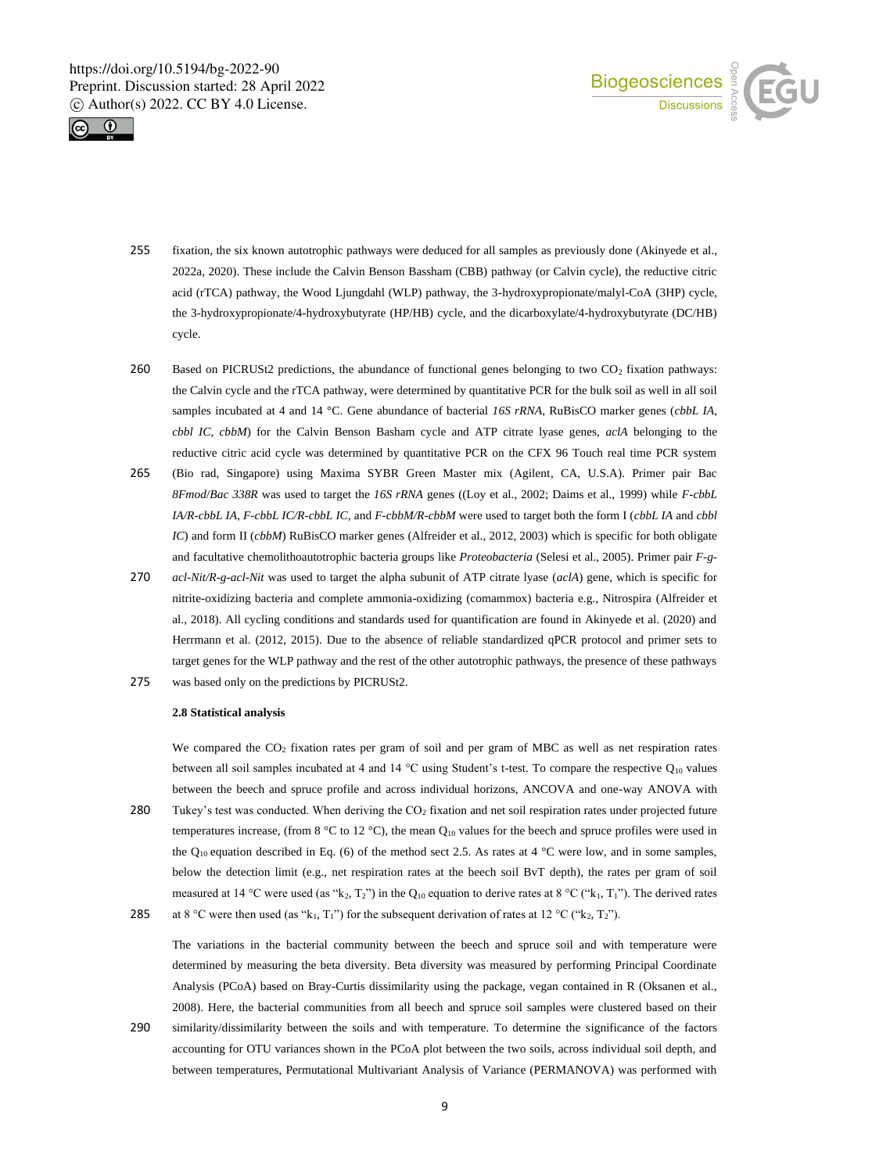



- 255 fixation, the six known autotrophic pathways were deduced for all samples as previously done (Akinyede et al., 2022a, 2020). These include the Calvin Benson Bassham (CBB) pathway (or Calvin cycle), the reductive citric acid (rTCA) pathway, the Wood Ljungdahl (WLP) pathway, the 3-hydroxypropionate/malyl-CoA (3HP) cycle, the 3-hydroxypropionate/4-hydroxybutyrate (HP/HB) cycle, and the dicarboxylate/4-hydroxybutyrate (DC/HB) cycle.
- 260 Based on PICRUSt2 predictions, the abundance of functional genes belonging to two  $CO<sub>2</sub>$  fixation pathways: the Calvin cycle and the rTCA pathway, were determined by quantitative PCR for the bulk soil as well in all soil samples incubated at 4 and 14 °C. Gene abundance of bacterial *16S rRNA*, RuBisCO marker genes (*cbbL IA*, *cbbl IC*, *cbbM*) for the Calvin Benson Basham cycle and ATP citrate lyase genes, *aclA* belonging to the reductive citric acid cycle was determined by quantitative PCR on the CFX 96 Touch real time PCR system
- 265 (Bio rad, Singapore) using Maxima SYBR Green Master mix (Agilent, CA, U.S.A). Primer pair Bac *8Fmod*/*Bac 338R* was used to target the *16S rRNA* genes ((Loy et al., 2002; Daims et al., 1999) while *F-cbbL IA/R-cbbL IA*, *F-cbbL IC/R-cbbL IC,* and *F-cbbM/R-cbbM* were used to target both the form I (*cbbL IA* and *cbbl IC*) and form II (*cbbM*) RuBisCO marker genes (Alfreider et al., 2012, 2003) which is specific for both obligate and facultative chemolithoautotrophic bacteria groups like *Proteobacteria* (Selesi et al., 2005). Primer pair *F-g-*
- 270 *acl-Nit/R-g-acl-Nit* was used to target the alpha subunit of ATP citrate lyase (*aclA*) gene, which is specific for nitrite-oxidizing bacteria and complete ammonia-oxidizing (comammox) bacteria e.g., Nitrospira (Alfreider et al., 2018). All cycling conditions and standards used for quantification are found in Akinyede et al. (2020) and Herrmann et al. (2012, 2015). Due to the absence of reliable standardized qPCR protocol and primer sets to target genes for the WLP pathway and the rest of the other autotrophic pathways, the presence of these pathways
- 275 was based only on the predictions by PICRUSt2.

## **2.8 Statistical analysis**

We compared the  $CO<sub>2</sub>$  fixation rates per gram of soil and per gram of MBC as well as net respiration rates between all soil samples incubated at 4 and 14 °C using Student's t-test. To compare the respective Q<sup>10</sup> values between the beech and spruce profile and across individual horizons, ANCOVA and one-way ANOVA with 280 Tukey's test was conducted. When deriving the CO<sub>2</sub> fixation and net soil respiration rates under projected future temperatures increase, (from 8 °C to 12 °C), the mean  $Q_{10}$  values for the beech and spruce profiles were used in the Q<sub>10</sub> equation described in Eq. (6) of the method sect 2.5. As rates at 4 °C were low, and in some samples, below the detection limit (e.g., net respiration rates at the beech soil BvT depth), the rates per gram of soil measured at 14 °C were used (as "k<sub>2</sub>, T<sub>2</sub>") in the Q<sub>10</sub> equation to derive rates at 8 °C ("k<sub>1</sub>, T<sub>1</sub>"). The derived rates 285 at 8 °C were then used (as "k<sub>1</sub>, T<sub>1</sub>") for the subsequent derivation of rates at 12 °C ("k<sub>2</sub>, T<sub>2</sub>").

The variations in the bacterial community between the beech and spruce soil and with temperature were determined by measuring the beta diversity. Beta diversity was measured by performing Principal Coordinate Analysis (PCoA) based on Bray-Curtis dissimilarity using the package, vegan contained in R (Oksanen et al., 2008). Here, the bacterial communities from all beech and spruce soil samples were clustered based on their 290 similarity/dissimilarity between the soils and with temperature. To determine the significance of the factors accounting for OTU variances shown in the PCoA plot between the two soils, across individual soil depth, and

between temperatures, Permutational Multivariant Analysis of Variance (PERMANOVA) was performed with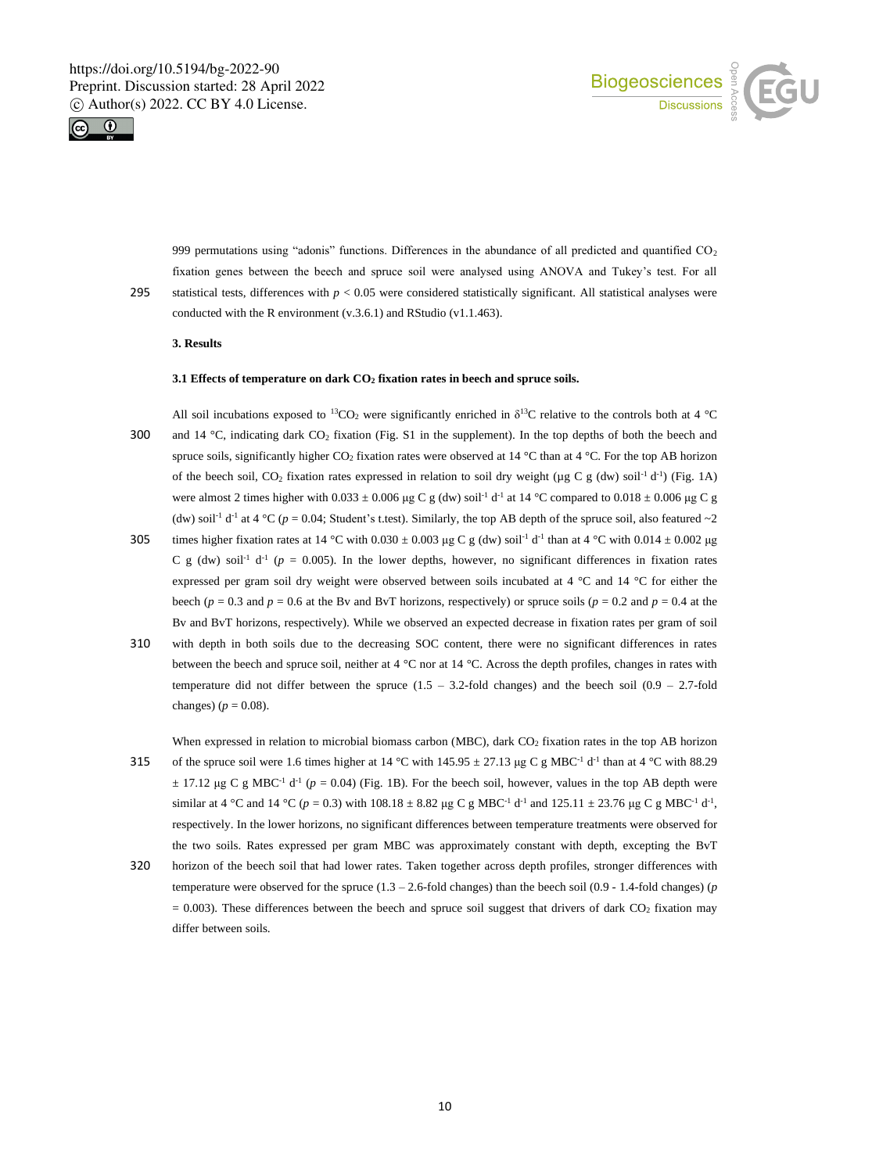



999 permutations using "adonis" functions. Differences in the abundance of all predicted and quantified CO<sub>2</sub> fixation genes between the beech and spruce soil were analysed using ANOVA and Tukey's test. For all 295 statistical tests, differences with *p* < 0.05 were considered statistically significant. All statistical analyses were conducted with the R environment (v.3.6.1) and RStudio (v1.1.463).

## **3. Results**

## **3.1 Effects of temperature on dark CO<sup>2</sup> fixation rates in beech and spruce soils.**

All soil incubations exposed to <sup>13</sup>CO<sub>2</sub> were significantly enriched in  $\delta^{13}$ C relative to the controls both at 4 °C 300 and 14 °C, indicating dark  $CO_2$  fixation (Fig. S1 in the supplement). In the top depths of both the beech and spruce soils, significantly higher  $CO_2$  fixation rates were observed at 14 °C than at 4 °C. For the top AB horizon of the beech soil, CO<sub>2</sub> fixation rates expressed in relation to soil dry weight ( $\mu$ g C g (dw) soil<sup>-1</sup> d<sup>-1</sup>) (Fig. 1A) were almost 2 times higher with  $0.033 \pm 0.006$  µg C g (dw) soil<sup>-1</sup> d<sup>-1</sup> at 14 °C compared to  $0.018 \pm 0.006$  µg C g (dw) soil<sup>-1</sup> d<sup>-1</sup> at 4 °C ( $p = 0.04$ ; Student's t.test). Similarly, the top AB depth of the spruce soil, also featured ~2

- 305 times higher fixation rates at  $14 \text{ °C}$  with 0.030  $\pm$  0.003 µg C g (dw) soil<sup>-1</sup> d<sup>-1</sup> than at 4  $\text{ °C}$  with 0.014  $\pm$  0.002 µg C g (dw) soil<sup>-1</sup> d<sup>-1</sup> ( $p = 0.005$ ). In the lower depths, however, no significant differences in fixation rates expressed per gram soil dry weight were observed between soils incubated at 4 °C and 14 °C for either the beech ( $p = 0.3$  and  $p = 0.6$  at the By and ByT horizons, respectively) or spruce soils ( $p = 0.2$  and  $p = 0.4$  at the Bv and BvT horizons, respectively). While we observed an expected decrease in fixation rates per gram of soil
- 310 with depth in both soils due to the decreasing SOC content, there were no significant differences in rates between the beech and spruce soil, neither at 4 °C nor at 14 °C. Across the depth profiles, changes in rates with temperature did not differ between the spruce  $(1.5 - 3.2$ -fold changes) and the beech soil  $(0.9 - 2.7$ -fold changes)  $(p = 0.08)$ .

When expressed in relation to microbial biomass carbon (MBC), dark CO<sub>2</sub> fixation rates in the top AB horizon 315 of the spruce soil were 1.6 times higher at 14 °C with 145.95  $\pm$  27.13 µg C g MBC<sup>-1</sup> d<sup>-1</sup> than at 4 °C with 88.29  $\pm$  17.12 μg C g MBC<sup>-1</sup> d<sup>-1</sup> ( $p = 0.04$ ) (Fig. 1B). For the beech soil, however, values in the top AB depth were similar at 4 °C and 14 °C ( $p = 0.3$ ) with 108.18  $\pm$  8.82 µg C g MBC<sup>-1</sup> d<sup>-1</sup> and 125.11  $\pm$  23.76 µg C g MBC<sup>-1</sup> d<sup>-1</sup>, respectively. In the lower horizons, no significant differences between temperature treatments were observed for the two soils. Rates expressed per gram MBC was approximately constant with depth, excepting the BvT

320 horizon of the beech soil that had lower rates. Taken together across depth profiles, stronger differences with temperature were observed for the spruce (1.3 – 2.6-fold changes) than the beech soil (0.9 - 1.4-fold changes) (*p*  $= 0.003$ ). These differences between the beech and spruce soil suggest that drivers of dark CO<sub>2</sub> fixation may differ between soils.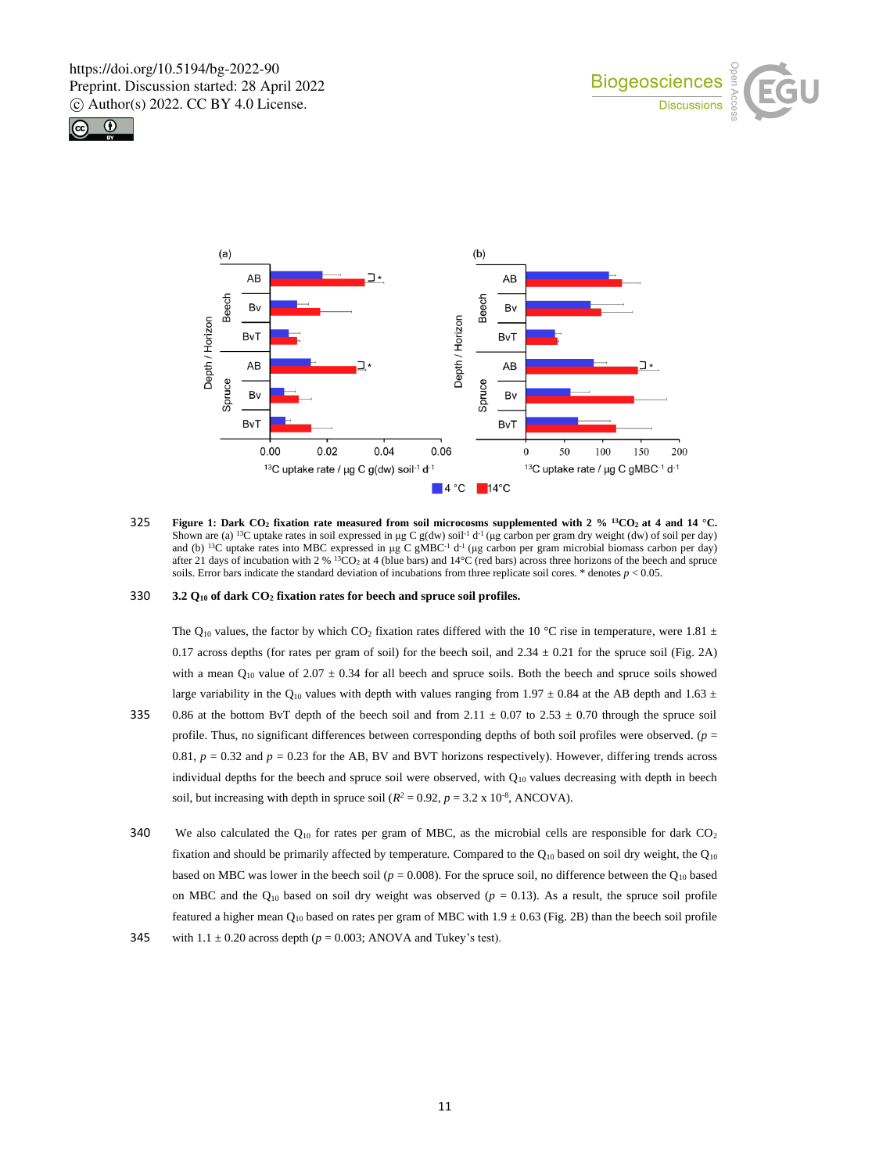





325 Figure 1: Dark CO<sub>2</sub> fixation rate measured from soil microcosms supplemented with 2 % <sup>13</sup>CO<sub>2</sub> at 4 and 14 °C. Shown are (a) <sup>13</sup>C uptake rates in soil expressed in µg C g(dw) soil<sup>-1</sup> d<sup>-1</sup> (µg carbon per gram dry weight (dw) of soil per day) and (b) <sup>13</sup>C uptake rates into MBC expressed in µg C gMBC<sup>-1</sup> d<sup>-1</sup> (µg carbon per gram after 21 days of incubation with 2 % <sup>13</sup>CO<sub>2</sub> at 4 (blue bars) and  $14^{\circ}$ C (red bars) across three horizons of the beech and spruce soils. Error bars indicate the standard deviation of incubations from three replicate soil cores. \* denotes  $p < 0.05$ .

## 330 **3.2 Q<sup>10</sup> of dark CO<sup>2</sup> fixation rates for beech and spruce soil profiles.**

The Q<sub>10</sub> values, the factor by which CO<sub>2</sub> fixation rates differed with the 10 °C rise in temperature, were 1.81  $\pm$ 0.17 across depths (for rates per gram of soil) for the beech soil, and  $2.34 \pm 0.21$  for the spruce soil (Fig. 2A) with a mean  $Q_{10}$  value of 2.07  $\pm$  0.34 for all beech and spruce soils. Both the beech and spruce soils showed large variability in the Q<sub>10</sub> values with depth with values ranging from 1.97  $\pm$  0.84 at the AB depth and 1.63  $\pm$ 

- 335 0.86 at the bottom BvT depth of the beech soil and from  $2.11 \pm 0.07$  to  $2.53 \pm 0.70$  through the spruce soil profile. Thus, no significant differences between corresponding depths of both soil profiles were observed. (*p* = 0.81,  $p = 0.32$  and  $p = 0.23$  for the AB, BV and BVT horizons respectively). However, differing trends across individual depths for the beech and spruce soil were observed, with  $Q_{10}$  values decreasing with depth in beech soil, but increasing with depth in spruce soil ( $R^2 = 0.92$ ,  $p = 3.2 \times 10^{-8}$ , ANCOVA).
- 340 We also calculated the  $Q_{10}$  for rates per gram of MBC, as the microbial cells are responsible for dark CO<sub>2</sub> fixation and should be primarily affected by temperature. Compared to the  $Q_{10}$  based on soil dry weight, the  $Q_{10}$ based on MBC was lower in the beech soil ( $p = 0.008$ ). For the spruce soil, no difference between the Q<sub>10</sub> based on MBC and the  $Q_{10}$  based on soil dry weight was observed ( $p = 0.13$ ). As a result, the spruce soil profile featured a higher mean  $Q_{10}$  based on rates per gram of MBC with  $1.9 \pm 0.63$  (Fig. 2B) than the beech soil profile
- 345 with  $1.1 \pm 0.20$  across depth ( $p = 0.003$ ; ANOVA and Tukey's test).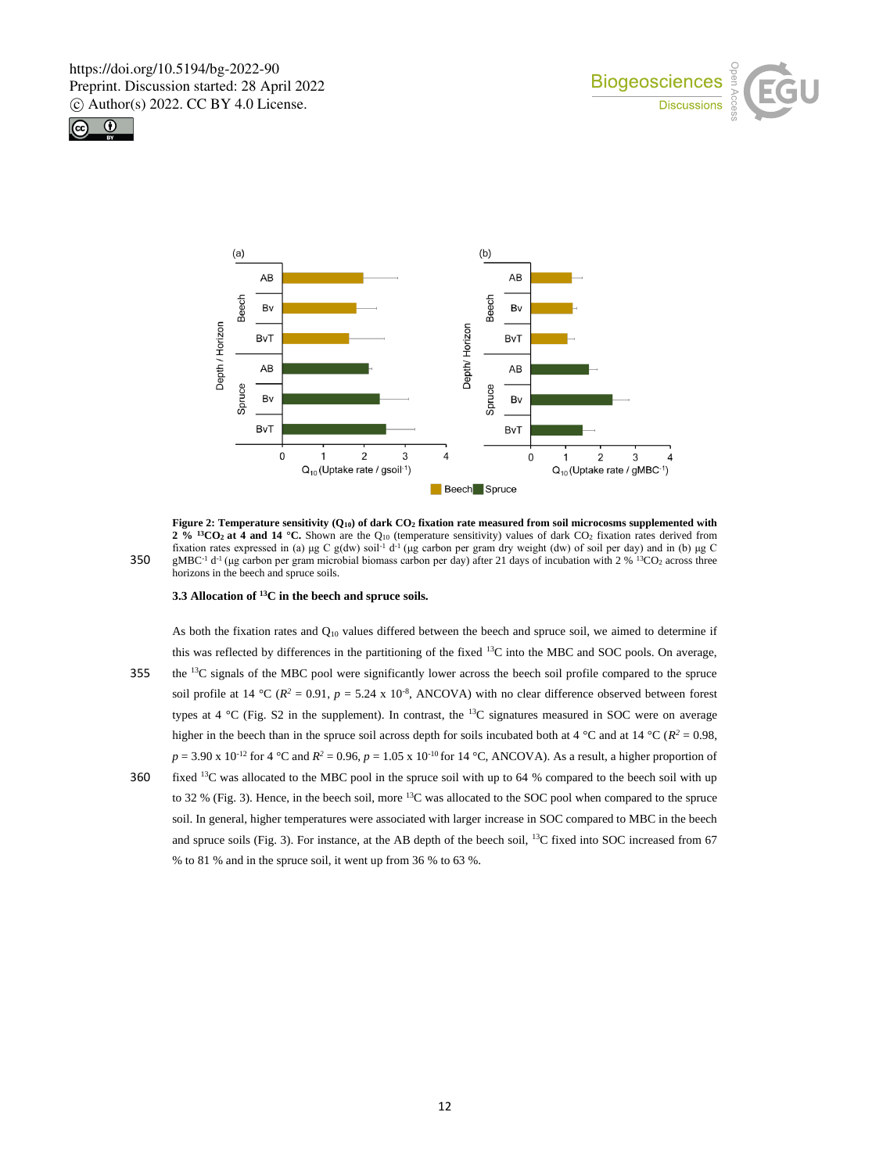





**Figure 2: Temperature sensitivity (Q10) of dark CO<sup>2</sup> fixation rate measured from soil microcosms supplemented with 2 % <sup>13</sup>CO2 at 4 and 14 °C.** Shown are the Q<sup>10</sup> (temperature sensitivity) values of dark CO<sup>2</sup> fixation rates derived from fixation rates expressed in (a) μg C g(dw) soil<sup>-1</sup> d<sup>-1</sup> (μg carbon per gram dry weight (dw) of soil per day) and in (b) μg C 350 gMBC<sup>-1</sup> d<sup>-1</sup> (µg carbon per gram microbial biomass carbon per day) after 21 days of incubation with 2 % <sup>13</sup>CO<sub>2</sub> across three horizons in the beech and spruce soils.

## **3.3 Allocation of <sup>13</sup>C in the beech and spruce soils.**

As both the fixation rates and  $Q_{10}$  values differed between the beech and spruce soil, we aimed to determine if this was reflected by differences in the partitioning of the fixed <sup>13</sup>C into the MBC and SOC pools. On average, 355 the  ${}^{13}C$  signals of the MBC pool were significantly lower across the beech soil profile compared to the spruce soil profile at 14 °C ( $R^2 = 0.91$ ,  $p = 5.24 \times 10^{-8}$ , ANCOVA) with no clear difference observed between forest types at  $4 \text{ }^{\circ}$ C (Fig. S2 in the supplement). In contrast, the  $^{13}$ C signatures measured in SOC were on average higher in the beech than in the spruce soil across depth for soils incubated both at  $4^{\circ}$ C and at  $14^{\circ}$ C ( $R^2 = 0.98$ ,  $p = 3.90 \times 10^{-12}$  for 4 °C and  $R^2 = 0.96$ ,  $p = 1.05 \times 10^{-10}$  for 14 °C, ANCOVA). As a result, a higher proportion of

360 fixed  $13$ C was allocated to the MBC pool in the spruce soil with up to 64 % compared to the beech soil with up to 32 % (Fig. 3). Hence, in the beech soil, more <sup>13</sup>C was allocated to the SOC pool when compared to the spruce soil. In general, higher temperatures were associated with larger increase in SOC compared to MBC in the beech and spruce soils (Fig. 3). For instance, at the AB depth of the beech soil, <sup>13</sup>C fixed into SOC increased from 67 % to 81 % and in the spruce soil, it went up from 36 % to 63 %.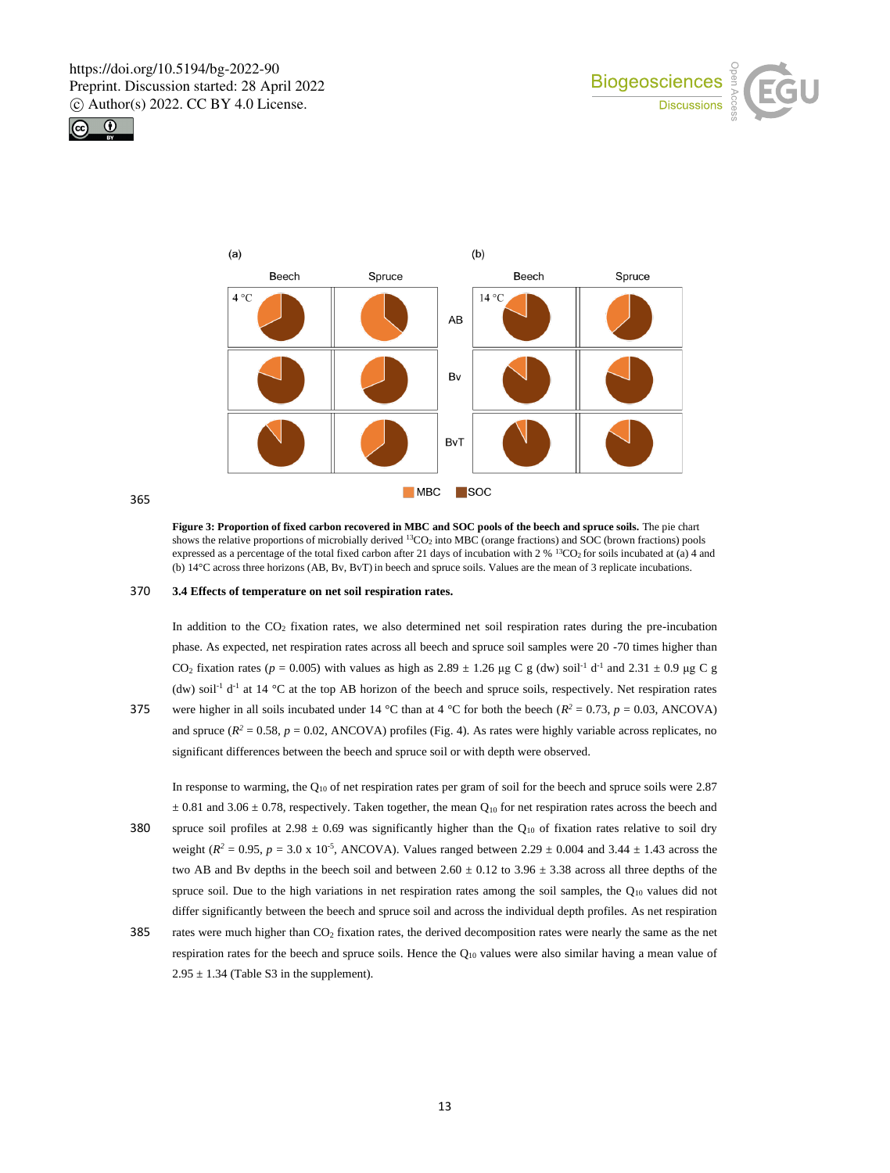





365

**Figure 3: Proportion of fixed carbon recovered in MBC and SOC pools of the beech and spruce soils.** The pie chart shows the relative proportions of microbially derived  $^{13}CO<sub>2</sub>$  into MBC (orange fractions) and SOC (brown fractions) pools expressed as a percentage of the total fixed carbon after 21 days of incubation with 2 %  ${}^{13}CO_2$  for soils incubated at (a) 4 and (b) 14°C across three horizons (AB, Bv, BvT) in beech and spruce soils. Values are the mean of 3 replicate incubations.

# 370 **3.4 Effects of temperature on net soil respiration rates.**

In addition to the CO<sup>2</sup> fixation rates, we also determined net soil respiration rates during the pre-incubation phase. As expected, net respiration rates across all beech and spruce soil samples were 20 -70 times higher than CO<sub>2</sub> fixation rates ( $p = 0.005$ ) with values as high as  $2.89 \pm 1.26$  µg C g (dw) soil<sup>-1</sup> d<sup>-1</sup> and  $2.31 \pm 0.9$  µg C g (dw) soil<sup>-1</sup> d<sup>-1</sup> at 14 °C at the top AB horizon of the beech and spruce soils, respectively. Net respiration rates

375 were higher in all soils incubated under 14 °C than at 4 °C for both the beech  $(R^2 = 0.73, p = 0.03, ANCOVA)$ and spruce  $(R^2 = 0.58, p = 0.02, ANCOVA)$  profiles (Fig. 4). As rates were highly variable across replicates, no significant differences between the beech and spruce soil or with depth were observed.

In response to warming, the Q<sup>10</sup> of net respiration rates per gram of soil for the beech and spruce soils were 2.87  $\pm$  0.81 and 3.06  $\pm$  0.78, respectively. Taken together, the mean Q<sub>10</sub> for net respiration rates across the beech and

- 380 spruce soil profiles at 2.98  $\pm$  0.69 was significantly higher than the Q<sub>10</sub> of fixation rates relative to soil dry weight  $(R^2 = 0.95, p = 3.0 \times 10^{-5}$ , ANCOVA). Values ranged between 2.29  $\pm$  0.004 and 3.44  $\pm$  1.43 across the two AB and Bv depths in the beech soil and between  $2.60 \pm 0.12$  to  $3.96 \pm 3.38$  across all three depths of the spruce soil. Due to the high variations in net respiration rates among the soil samples, the  $Q_{10}$  values did not differ significantly between the beech and spruce soil and across the individual depth profiles. As net respiration
- 385 rates were much higher than  $CO<sub>2</sub>$  fixation rates, the derived decomposition rates were nearly the same as the net respiration rates for the beech and spruce soils. Hence the  $Q_{10}$  values were also similar having a mean value of  $2.95 \pm 1.34$  (Table S3 in the supplement).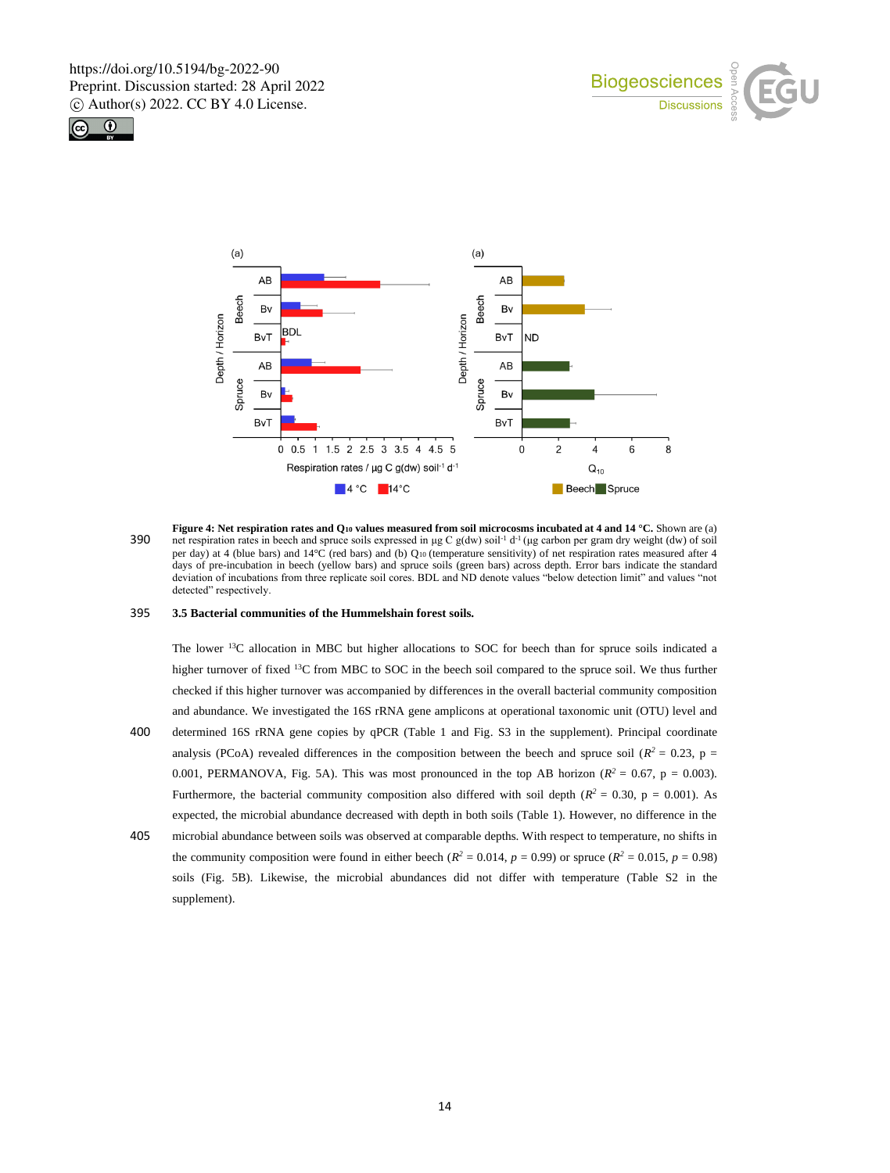





**Figure 4: Net respiration rates and Q<sup>10</sup> values measured from soil microcosms incubated at 4 and 14 °C.** Shown are (a) 390 net respiration rates in beech and spruce soils expressed in  $\mu$ g C g(dw) soil<sup>-1</sup> d<sup>-1</sup> ( $\mu$ g carbon per gram dry weight (dw) of soil per day) at 4 (blue bars) and 14°C (red bars) and (b) Q10 (temperature sensitivity) of net respiration rates measured after 4 days of pre-incubation in beech (yellow bars) and spruce soils (green bars) across depth. Error bars indicate the standard deviation of incubations from three replicate soil cores. BDL and ND denote values "below detection limit" and values "not detected" respectively.

## 395 **3.5 Bacterial communities of the Hummelshain forest soils.**

The lower <sup>13</sup>C allocation in MBC but higher allocations to SOC for beech than for spruce soils indicated a higher turnover of fixed <sup>13</sup>C from MBC to SOC in the beech soil compared to the spruce soil. We thus further checked if this higher turnover was accompanied by differences in the overall bacterial community composition and abundance. We investigated the 16S rRNA gene amplicons at operational taxonomic unit (OTU) level and 400 determined 16S rRNA gene copies by qPCR (Table 1 and Fig. S3 in the supplement). Principal coordinate analysis (PCoA) revealed differences in the composition between the beech and spruce soil ( $R^2 = 0.23$ , p = 0.001, PERMANOVA, Fig. 5A). This was most pronounced in the top AB horizon ( $R^2 = 0.67$ ,  $p = 0.003$ ). Furthermore, the bacterial community composition also differed with soil depth  $(R^2 = 0.30, p = 0.001)$ . As expected, the microbial abundance decreased with depth in both soils (Table 1). However, no difference in the

405 microbial abundance between soils was observed at comparable depths. With respect to temperature, no shifts in the community composition were found in either beech ( $R^2 = 0.014$ ,  $p = 0.99$ ) or spruce ( $R^2 = 0.015$ ,  $p = 0.98$ ) soils (Fig. 5B). Likewise, the microbial abundances did not differ with temperature (Table S2 in the supplement).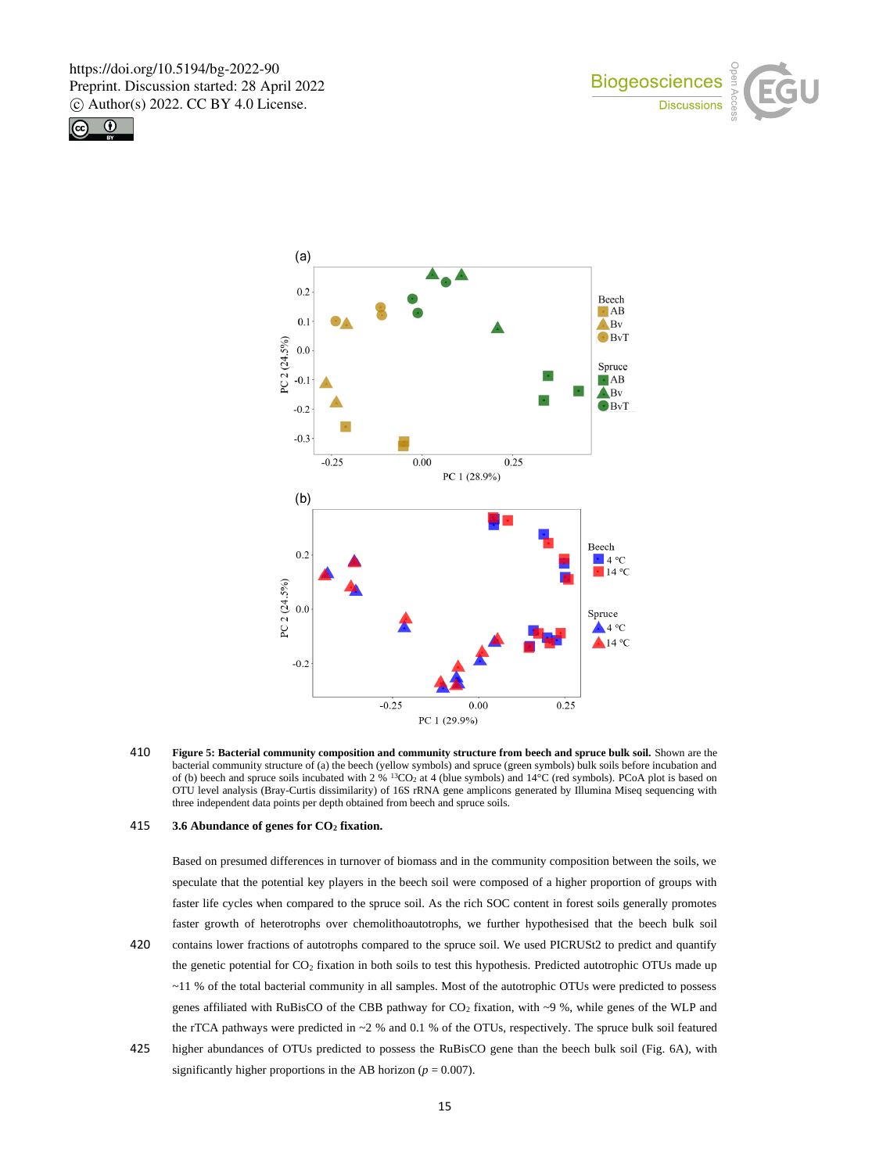





410 **Figure 5: Bacterial community composition and community structure from beech and spruce bulk soil.** Shown are the bacterial community structure of (a) the beech (yellow symbols) and spruce (green symbols) bulk soils before incubation and of (b) beech and spruce soils incubated with  $2\%$  <sup>13</sup>CO<sub>2</sub> at 4 (blue symbols) and  $14\degree$ C (red symbols). PCoA plot is based on OTU level analysis (Bray-Curtis dissimilarity) of 16S rRNA gene amplicons generated by Illumina Miseq sequencing with three independent data points per depth obtained from beech and spruce soils.

## 415 **3.6 Abundance of genes for CO<sup>2</sup> fixation.**

Based on presumed differences in turnover of biomass and in the community composition between the soils, we speculate that the potential key players in the beech soil were composed of a higher proportion of groups with faster life cycles when compared to the spruce soil. As the rich SOC content in forest soils generally promotes faster growth of heterotrophs over chemolithoautotrophs, we further hypothesised that the beech bulk soil 420 contains lower fractions of autotrophs compared to the spruce soil. We used PICRUSt2 to predict and quantify the genetic potential for CO<sub>2</sub> fixation in both soils to test this hypothesis. Predicted autotrophic OTUs made up ~11 % of the total bacterial community in all samples. Most of the autotrophic OTUs were predicted to possess genes affiliated with RuBisCO of the CBB pathway for  $CO<sub>2</sub>$  fixation, with ~9 %, while genes of the WLP and the rTCA pathways were predicted in  $\sim$  2 % and 0.1 % of the OTUs, respectively. The spruce bulk soil featured

425 higher abundances of OTUs predicted to possess the RuBisCO gene than the beech bulk soil (Fig. 6A), with significantly higher proportions in the AB horizon ( $p = 0.007$ ).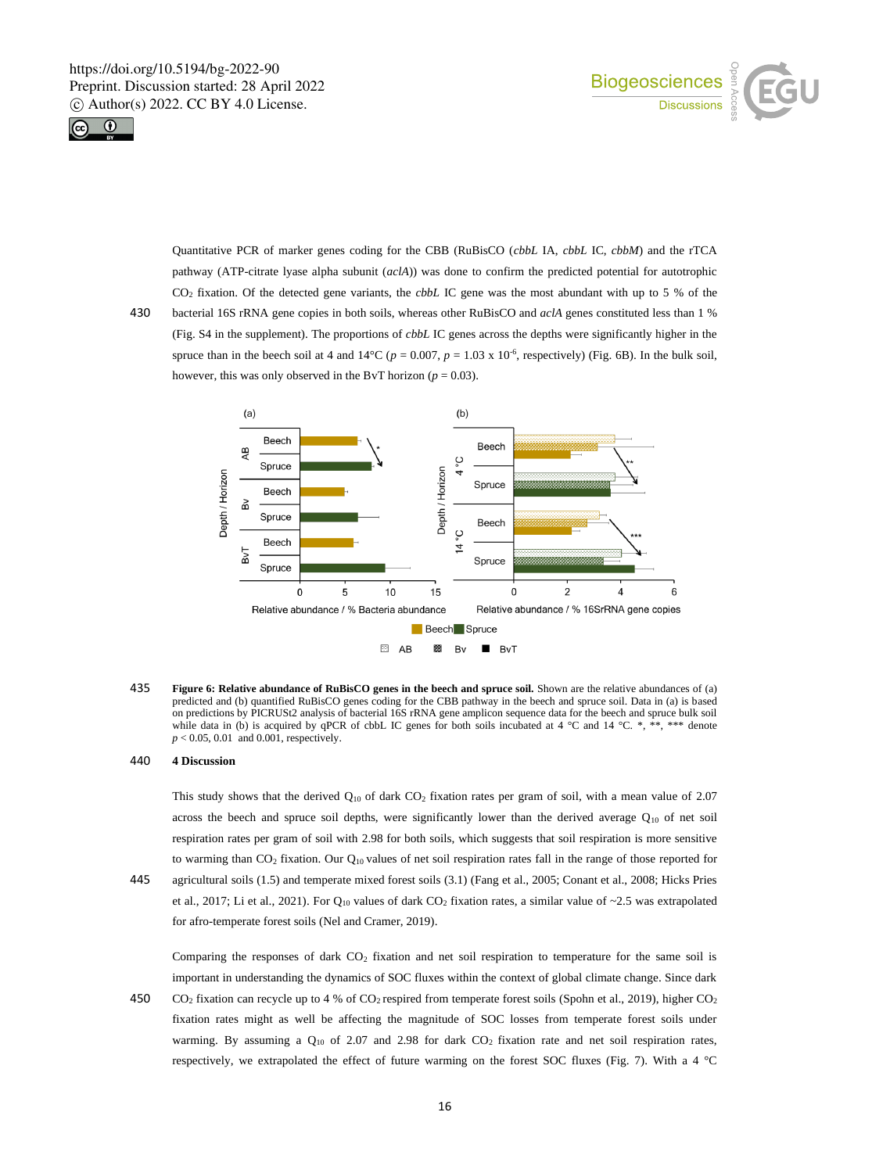



Quantitative PCR of marker genes coding for the CBB (RuBisCO (*cbbL* IA, *cbbL* IC, *cbbM*) and the rTCA pathway (ATP-citrate lyase alpha subunit (*aclA*)) was done to confirm the predicted potential for autotrophic CO<sup>2</sup> fixation. Of the detected gene variants, the *cbbL* IC gene was the most abundant with up to 5 % of the 430 bacterial 16S rRNA gene copies in both soils, whereas other RuBisCO and *aclA* genes constituted less than 1 % (Fig. S4 in the supplement). The proportions of *cbbL* IC genes across the depths were significantly higher in the

spruce than in the beech soil at 4 and  $14^{\circ}\text{C}$  ( $p = 0.007$ ,  $p = 1.03 \times 10^{-6}$ , respectively) (Fig. 6B). In the bulk soil, however, this was only observed in the BvT horizon ( $p = 0.03$ ).  $(a)$  $(b)$ Beech Beech



435 **Figure 6: Relative abundance of RuBisCO genes in the beech and spruce soil.** Shown are the relative abundances of (a) predicted and (b) quantified RuBisCO genes coding for the CBB pathway in the beech and spruce soil. Data in (a) is based on predictions by PICRUSt2 analysis of bacterial 16S rRNA gene amplicon sequence data for the beech and spruce bulk soil while data in (b) is acquired by qPCR of cbbL IC genes for both soils incubated at 4 °C and 14 °C. \*, \*\*, \*\*\* denote *p* < 0.05, 0.01 and 0.001, respectively.

## 440 **4 Discussion**

This study shows that the derived Q<sup>10</sup> of dark CO<sup>2</sup> fixation rates per gram of soil, with a mean value of 2.07 across the beech and spruce soil depths, were significantly lower than the derived average  $Q_{10}$  of net soil respiration rates per gram of soil with 2.98 for both soils, which suggests that soil respiration is more sensitive to warming than  $CO_2$  fixation. Our  $Q_{10}$  values of net soil respiration rates fall in the range of those reported for 445 agricultural soils (1.5) and temperate mixed forest soils (3.1) (Fang et al., 2005; Conant et al., 2008; Hicks Pries et al., 2017; Li et al., 2021). For  $Q_{10}$  values of dark CO<sub>2</sub> fixation rates, a similar value of ~2.5 was extrapolated for afro-temperate forest soils (Nel and Cramer, 2019).

Comparing the responses of dark CO<sup>2</sup> fixation and net soil respiration to temperature for the same soil is important in understanding the dynamics of SOC fluxes within the context of global climate change. Since dark

450 CO<sup>2</sup> fixation can recycle up to 4 % of CO2 respired from temperate forest soils (Spohn et al., 2019), higher CO<sup>2</sup> fixation rates might as well be affecting the magnitude of SOC losses from temperate forest soils under warming. By assuming a  $Q_{10}$  of 2.07 and 2.98 for dark  $CO<sub>2</sub>$  fixation rate and net soil respiration rates, respectively, we extrapolated the effect of future warming on the forest SOC fluxes (Fig. 7). With a 4 °C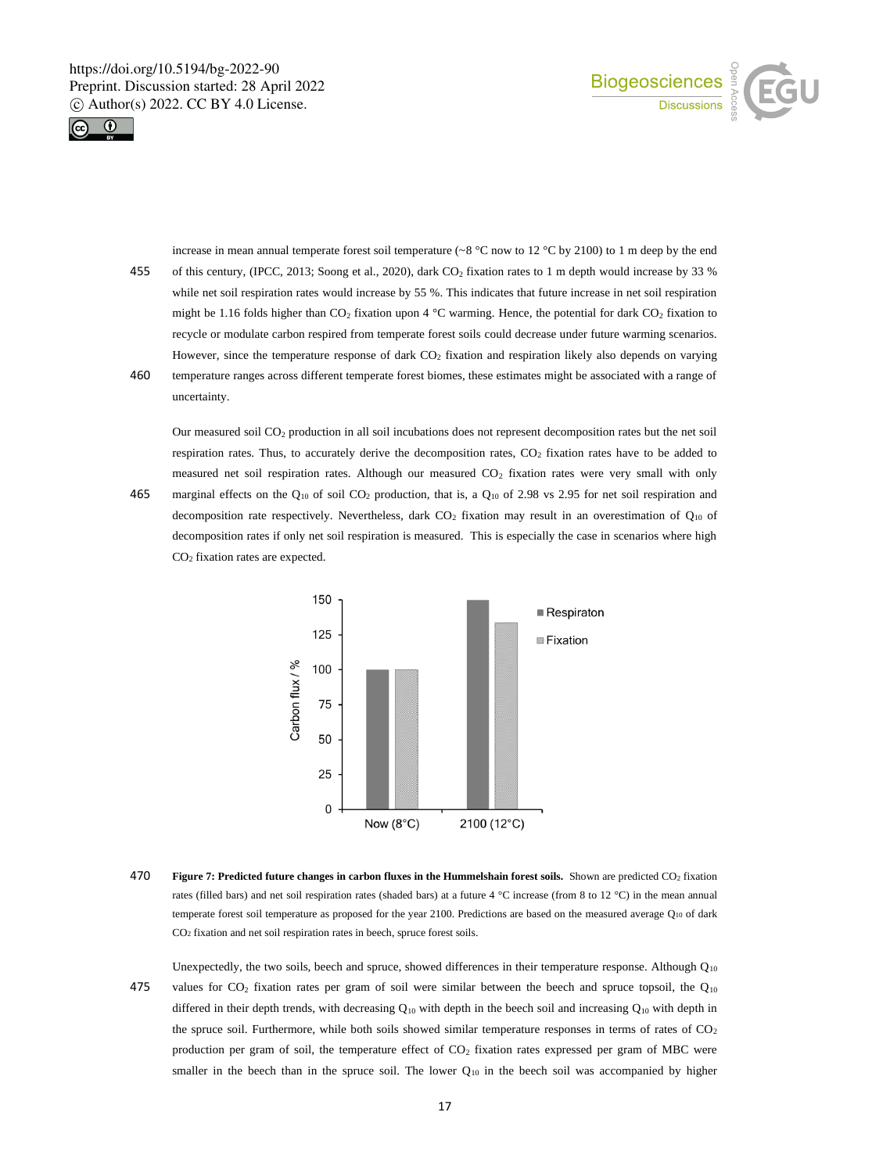



increase in mean annual temperate forest soil temperature (~8 °C now to 12 °C by 2100) to 1 m deep by the end 455 of this century, (IPCC, 2013; Soong et al., 2020), dark CO<sub>2</sub> fixation rates to 1 m depth would increase by 33 % while net soil respiration rates would increase by 55 %. This indicates that future increase in net soil respiration might be 1.16 folds higher than  $CO_2$  fixation upon 4 °C warming. Hence, the potential for dark  $CO_2$  fixation to recycle or modulate carbon respired from temperate forest soils could decrease under future warming scenarios. However, since the temperature response of dark CO<sub>2</sub> fixation and respiration likely also depends on varying

460 temperature ranges across different temperate forest biomes, these estimates might be associated with a range of uncertainty.

Our measured soil CO<sup>2</sup> production in all soil incubations does not represent decomposition rates but the net soil respiration rates. Thus, to accurately derive the decomposition rates, CO<sub>2</sub> fixation rates have to be added to measured net soil respiration rates. Although our measured  $CO<sub>2</sub>$  fixation rates were very small with only 465 marginal effects on the  $Q_{10}$  of soil CO<sub>2</sub> production, that is, a  $Q_{10}$  of 2.98 vs 2.95 for net soil respiration and decomposition rate respectively. Nevertheless, dark  $CO<sub>2</sub>$  fixation may result in an overestimation of  $Q<sub>10</sub>$  of decomposition rates if only net soil respiration is measured. This is especially the case in scenarios where high CO<sup>2</sup> fixation rates are expected.



470 **Figure 7: Predicted future changes in carbon fluxes in the Hummelshain forest soils.** Shown are predicted CO<sub>2</sub> fixation rates (filled bars) and net soil respiration rates (shaded bars) at a future 4 °C increase (from 8 to 12 °C) in the mean annual temperate forest soil temperature as proposed for the year 2100. Predictions are based on the measured average Q10 of dark CO<sup>2</sup> fixation and net soil respiration rates in beech, spruce forest soils.

Unexpectedly, the two soils, beech and spruce, showed differences in their temperature response. Although  $Q_{10}$ 475 values for  $CO_2$  fixation rates per gram of soil were similar between the beech and spruce topsoil, the  $Q_{10}$ differed in their depth trends, with decreasing  $Q_{10}$  with depth in the beech soil and increasing  $Q_{10}$  with depth in the spruce soil. Furthermore, while both soils showed similar temperature responses in terms of rates of  $CO<sub>2</sub>$ production per gram of soil, the temperature effect of CO<sub>2</sub> fixation rates expressed per gram of MBC were smaller in the beech than in the spruce soil. The lower  $Q_{10}$  in the beech soil was accompanied by higher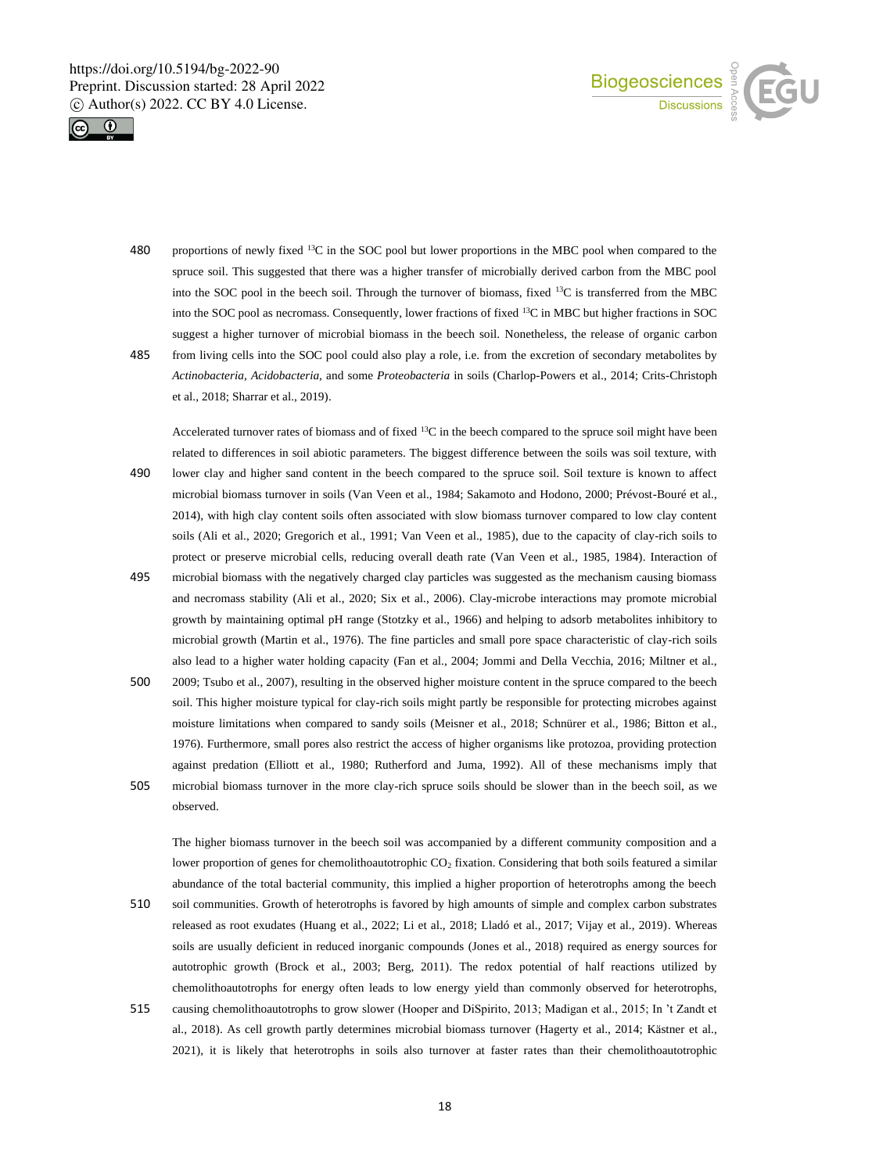



- 480 proportions of newly fixed <sup>13</sup>C in the SOC pool but lower proportions in the MBC pool when compared to the spruce soil. This suggested that there was a higher transfer of microbially derived carbon from the MBC pool into the SOC pool in the beech soil. Through the turnover of biomass, fixed <sup>13</sup>C is transferred from the MBC into the SOC pool as necromass. Consequently, lower fractions of fixed <sup>13</sup>C in MBC but higher fractions in SOC suggest a higher turnover of microbial biomass in the beech soil. Nonetheless, the release of organic carbon 485 from living cells into the SOC pool could also play a role, i.e. from the excretion of secondary metabolites by *Actinobacteria*, *Acidobacteria,* and some *Proteobacteria* in soils (Charlop-Powers et al., 2014; Crits-Christoph
	- et al., 2018; Sharrar et al., 2019).

observed.

Accelerated turnover rates of biomass and of fixed <sup>13</sup>C in the beech compared to the spruce soil might have been related to differences in soil abiotic parameters. The biggest difference between the soils was soil texture, with 490 lower clay and higher sand content in the beech compared to the spruce soil. Soil texture is known to affect microbial biomass turnover in soils (Van Veen et al., 1984; Sakamoto and Hodono, 2000; Prévost-Bouré et al., 2014), with high clay content soils often associated with slow biomass turnover compared to low clay content soils (Ali et al., 2020; Gregorich et al., 1991; Van Veen et al., 1985), due to the capacity of clay-rich soils to protect or preserve microbial cells, reducing overall death rate (Van Veen et al., 1985, 1984). Interaction of

- 495 microbial biomass with the negatively charged clay particles was suggested as the mechanism causing biomass and necromass stability (Ali et al., 2020; Six et al., 2006). Clay-microbe interactions may promote microbial growth by maintaining optimal pH range (Stotzky et al., 1966) and helping to adsorb metabolites inhibitory to microbial growth (Martin et al., 1976). The fine particles and small pore space characteristic of clay-rich soils also lead to a higher water holding capacity (Fan et al., 2004; Jommi and Della Vecchia, 2016; Miltner et al.,
- 500 2009; Tsubo et al., 2007), resulting in the observed higher moisture content in the spruce compared to the beech soil. This higher moisture typical for clay-rich soils might partly be responsible for protecting microbes against moisture limitations when compared to sandy soils (Meisner et al., 2018; Schnürer et al., 1986; Bitton et al., 1976). Furthermore, small pores also restrict the access of higher organisms like protozoa, providing protection against predation (Elliott et al., 1980; Rutherford and Juma, 1992). All of these mechanisms imply that 505 microbial biomass turnover in the more clay-rich spruce soils should be slower than in the beech soil, as we

The higher biomass turnover in the beech soil was accompanied by a different community composition and a lower proportion of genes for chemolithoautotrophic  $CO<sub>2</sub>$  fixation. Considering that both soils featured a similar abundance of the total bacterial community, this implied a higher proportion of heterotrophs among the beech

- 510 soil communities. Growth of heterotrophs is favored by high amounts of simple and complex carbon substrates released as root exudates (Huang et al., 2022; Li et al., 2018; Lladó et al., 2017; Vijay et al., 2019). Whereas soils are usually deficient in reduced inorganic compounds (Jones et al., 2018) required as energy sources for autotrophic growth (Brock et al., 2003; Berg, 2011). The redox potential of half reactions utilized by chemolithoautotrophs for energy often leads to low energy yield than commonly observed for heterotrophs, 515 causing chemolithoautotrophs to grow slower (Hooper and DiSpirito, 2013; Madigan et al., 2015; In 't Zandt et
- al., 2018). As cell growth partly determines microbial biomass turnover (Hagerty et al., 2014; Kästner et al., 2021), it is likely that heterotrophs in soils also turnover at faster rates than their chemolithoautotrophic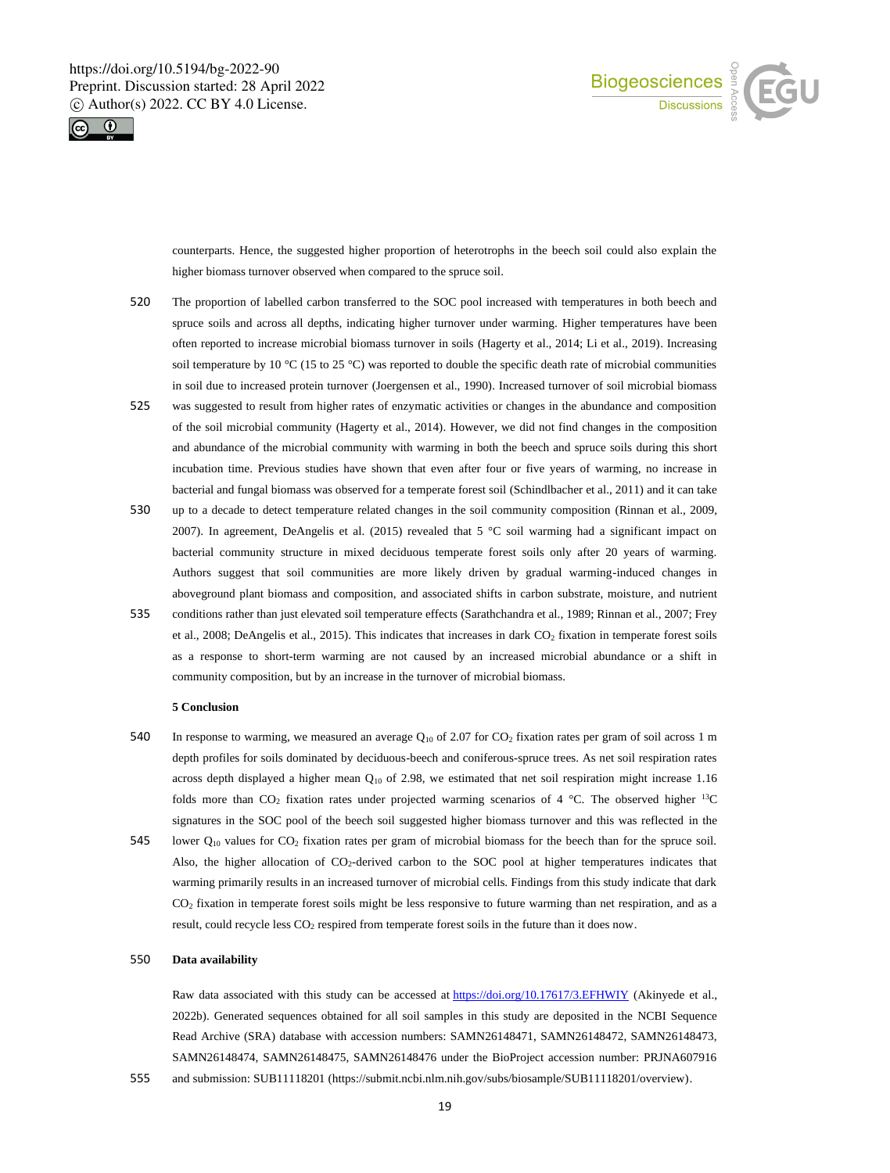



counterparts. Hence, the suggested higher proportion of heterotrophs in the beech soil could also explain the higher biomass turnover observed when compared to the spruce soil.

- 520 The proportion of labelled carbon transferred to the SOC pool increased with temperatures in both beech and spruce soils and across all depths, indicating higher turnover under warming. Higher temperatures have been often reported to increase microbial biomass turnover in soils (Hagerty et al., 2014; Li et al., 2019). Increasing soil temperature by 10 °C (15 to 25 °C) was reported to double the specific death rate of microbial communities in soil due to increased protein turnover (Joergensen et al., 1990). Increased turnover of soil microbial biomass
- 525 was suggested to result from higher rates of enzymatic activities or changes in the abundance and composition of the soil microbial community (Hagerty et al., 2014). However, we did not find changes in the composition and abundance of the microbial community with warming in both the beech and spruce soils during this short incubation time. Previous studies have shown that even after four or five years of warming, no increase in bacterial and fungal biomass was observed for a temperate forest soil (Schindlbacher et al., 2011) and it can take
- 530 up to a decade to detect temperature related changes in the soil community composition (Rinnan et al., 2009, 2007). In agreement, DeAngelis et al. (2015) revealed that 5 °C soil warming had a significant impact on bacterial community structure in mixed deciduous temperate forest soils only after 20 years of warming. Authors suggest that soil communities are more likely driven by gradual warming-induced changes in aboveground plant biomass and composition, and associated shifts in carbon substrate, moisture, and nutrient
- 535 conditions rather than just elevated soil temperature effects (Sarathchandra et al., 1989; Rinnan et al., 2007; Frey et al., 2008; DeAngelis et al., 2015). This indicates that increases in dark CO<sup>2</sup> fixation in temperate forest soils as a response to short-term warming are not caused by an increased microbial abundance or a shift in community composition, but by an increase in the turnover of microbial biomass.

#### **5 Conclusion**

- 540 In response to warming, we measured an average  $Q_{10}$  of 2.07 for CO<sub>2</sub> fixation rates per gram of soil across 1 m depth profiles for soils dominated by deciduous-beech and coniferous-spruce trees. As net soil respiration rates across depth displayed a higher mean  $Q_{10}$  of 2.98, we estimated that net soil respiration might increase 1.16 folds more than  $CO_2$  fixation rates under projected warming scenarios of 4 °C. The observed higher <sup>13</sup>C signatures in the SOC pool of the beech soil suggested higher biomass turnover and this was reflected in the
- 545 lower  $Q_{10}$  values for CO<sub>2</sub> fixation rates per gram of microbial biomass for the beech than for the spruce soil. Also, the higher allocation of CO<sub>2</sub>-derived carbon to the SOC pool at higher temperatures indicates that warming primarily results in an increased turnover of microbial cells. Findings from this study indicate that dark CO<sup>2</sup> fixation in temperate forest soils might be less responsive to future warming than net respiration, and as a result, could recycle less CO<sub>2</sub> respired from temperate forest soils in the future than it does now.

## 550 **Data availability**

Raw data associated with this study can be accessed at https://doi.org/10.17617/3.EFHWIY (Akinyede et al., 2022b). Generated sequences obtained for all soil samples in this study are deposited in the NCBI Sequence Read Archive (SRA) database with accession numbers: SAMN26148471, SAMN26148472, SAMN26148473, SAMN26148474, SAMN26148475, SAMN26148476 under the BioProject accession number: PRJNA607916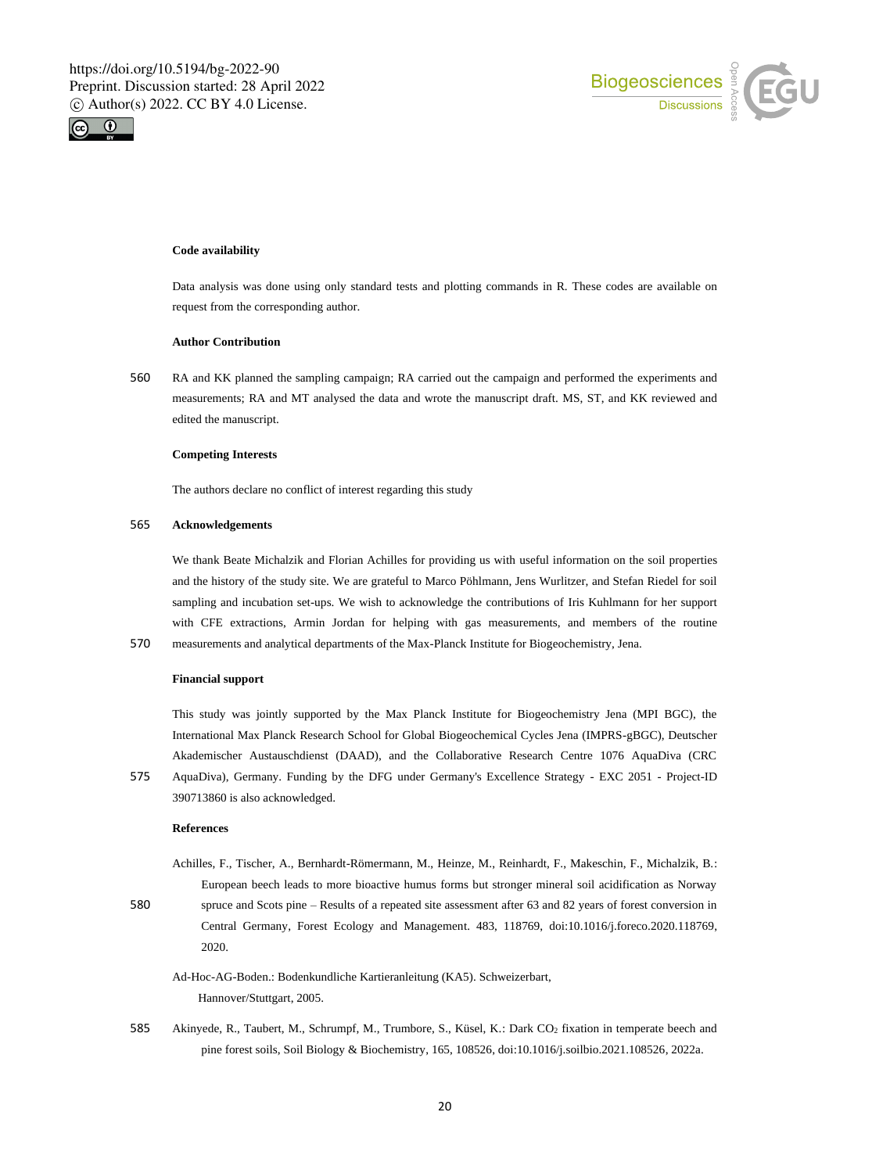



## **Code availability**

Data analysis was done using only standard tests and plotting commands in R. These codes are available on request from the corresponding author.

## **Author Contribution**

560 RA and KK planned the sampling campaign; RA carried out the campaign and performed the experiments and measurements; RA and MT analysed the data and wrote the manuscript draft. MS, ST, and KK reviewed and edited the manuscript.

#### **Competing Interests**

The authors declare no conflict of interest regarding this study

## 565 **Acknowledgements**

We thank Beate Michalzik and Florian Achilles for providing us with useful information on the soil properties and the history of the study site. We are grateful to Marco Pöhlmann, Jens Wurlitzer, and Stefan Riedel for soil sampling and incubation set-ups. We wish to acknowledge the contributions of Iris Kuhlmann for her support with CFE extractions, Armin Jordan for helping with gas measurements, and members of the routine 570 measurements and analytical departments of the Max-Planck Institute for Biogeochemistry, Jena.

#### **Financial support**

This study was jointly supported by the Max Planck Institute for Biogeochemistry Jena (MPI BGC), the International Max Planck Research School for Global Biogeochemical Cycles Jena (IMPRS-gBGC), Deutscher Akademischer Austauschdienst (DAAD), and the Collaborative Research Centre 1076 AquaDiva (CRC

575 AquaDiva), Germany. Funding by the DFG under Germany's Excellence Strategy - EXC 2051 - Project-ID 390713860 is also acknowledged.

#### **References**

- Achilles, F., Tischer, A., Bernhardt-Römermann, M., Heinze, M., Reinhardt, F., Makeschin, F., Michalzik, B.: European beech leads to more bioactive humus forms but stronger mineral soil acidification as Norway 580 spruce and Scots pine – Results of a repeated site assessment after 63 and 82 years of forest conversion in Central Germany, Forest Ecology and Management. 483, 118769, doi:10.1016/j.foreco.2020.118769,
	- 2020.
	- Ad-Hoc-AG-Boden.: Bodenkundliche Kartieranleitung (KA5). Schweizerbart, Hannover/Stuttgart, 2005.
- 585 Akinyede, R., Taubert, M., Schrumpf, M., Trumbore, S., Küsel, K.: Dark CO<sup>2</sup> fixation in temperate beech and pine forest soils, Soil Biology & Biochemistry, 165, 108526, doi:10.1016/j.soilbio.2021.108526, 2022a.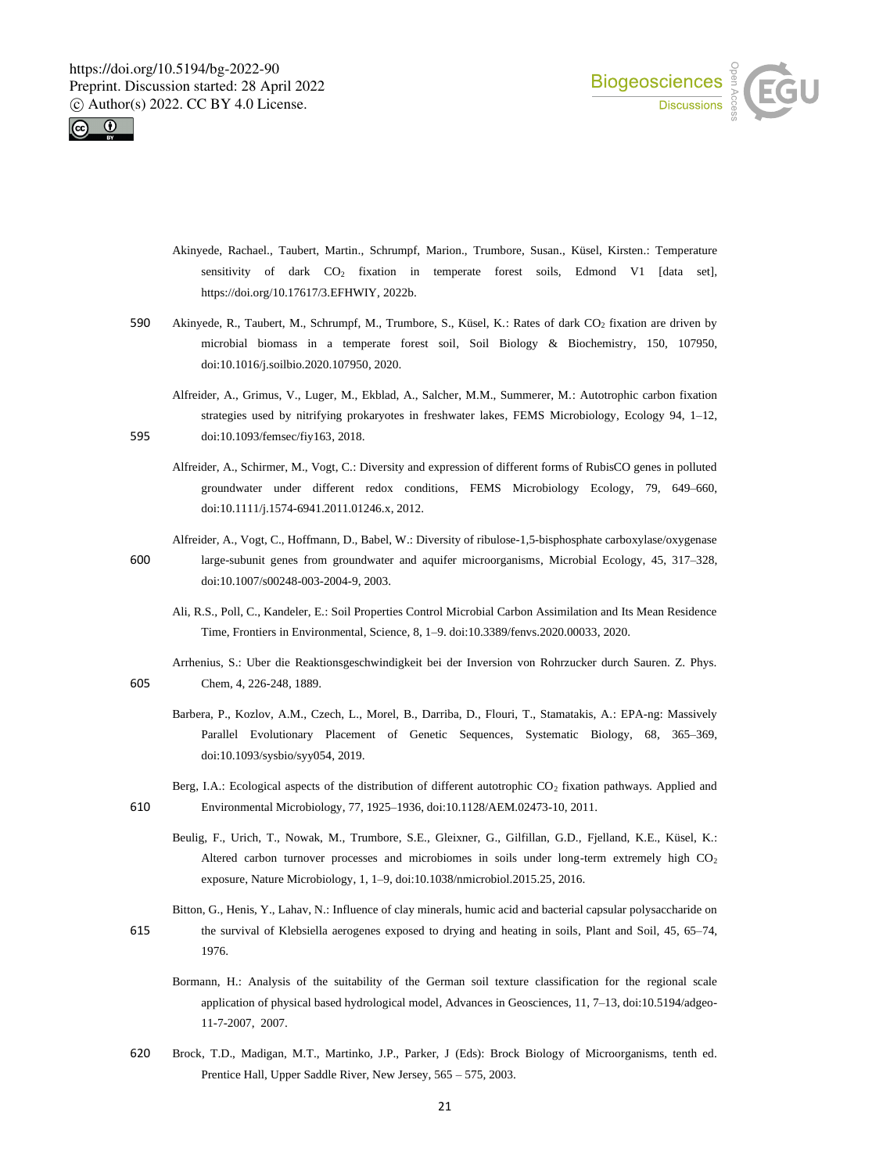



- Akinyede, Rachael., Taubert, Martin., Schrumpf, Marion., Trumbore, Susan., Küsel, Kirsten.: Temperature sensitivity of dark  $CO<sub>2</sub>$  fixation in temperate forest soils, Edmond V1 [data set], https://doi.org/10.17617/3.EFHWIY, 2022b.
- 590 Akinyede, R., Taubert, M., Schrumpf, M., Trumbore, S., Küsel, K.: Rates of dark CO<sub>2</sub> fixation are driven by microbial biomass in a temperate forest soil, Soil Biology & Biochemistry, 150, 107950, doi:10.1016/j.soilbio.2020.107950, 2020.
- Alfreider, A., Grimus, V., Luger, M., Ekblad, A., Salcher, M.M., Summerer, M.: Autotrophic carbon fixation strategies used by nitrifying prokaryotes in freshwater lakes, FEMS Microbiology, Ecology 94, 1–12, 595 doi:10.1093/femsec/fiy163, 2018.
	- Alfreider, A., Schirmer, M., Vogt, C.: Diversity and expression of different forms of RubisCO genes in polluted groundwater under different redox conditions, FEMS Microbiology Ecology, 79, 649–660, doi:10.1111/j.1574-6941.2011.01246.x, 2012.
- Alfreider, A., Vogt, C., Hoffmann, D., Babel, W.: Diversity of ribulose-1,5-bisphosphate carboxylase/oxygenase 600 large-subunit genes from groundwater and aquifer microorganisms, Microbial Ecology, 45, 317–328, doi:10.1007/s00248-003-2004-9, 2003.
	- Ali, R.S., Poll, C., Kandeler, E.: Soil Properties Control Microbial Carbon Assimilation and Its Mean Residence Time, Frontiers in Environmental, Science, 8, 1–9. doi:10.3389/fenvs.2020.00033, 2020.
- Arrhenius, S.: Uber die Reaktionsgeschwindigkeit bei der Inversion von Rohrzucker durch Sauren. Z. Phys. 605 Chem, 4, 226-248, 1889.
	- Barbera, P., Kozlov, A.M., Czech, L., Morel, B., Darriba, D., Flouri, T., Stamatakis, A.: EPA-ng: Massively Parallel Evolutionary Placement of Genetic Sequences, Systematic Biology, 68, 365–369, doi:10.1093/sysbio/syy054, 2019.
- Berg, I.A.: Ecological aspects of the distribution of different autotrophic  $CO<sub>2</sub>$  fixation pathways. Applied and 610 Environmental Microbiology, 77, 1925–1936, doi:10.1128/AEM.02473-10, 2011.
	- Beulig, F., Urich, T., Nowak, M., Trumbore, S.E., Gleixner, G., Gilfillan, G.D., Fjelland, K.E., Küsel, K.: Altered carbon turnover processes and microbiomes in soils under long-term extremely high CO2 exposure, Nature Microbiology, 1, 1–9, doi:10.1038/nmicrobiol.2015.25, 2016.
- Bitton, G., Henis, Y., Lahav, N.: Influence of clay minerals, humic acid and bacterial capsular polysaccharide on 615 the survival of Klebsiella aerogenes exposed to drying and heating in soils, Plant and Soil, 45, 65–74, 1976.
	- Bormann, H.: Analysis of the suitability of the German soil texture classification for the regional scale application of physical based hydrological model, Advances in Geosciences, 11, 7–13, doi:10.5194/adgeo-11-7-2007, 2007.
- 620 Brock, T.D., Madigan, M.T., Martinko, J.P., Parker, J (Eds): Brock Biology of Microorganisms, tenth ed. Prentice Hall, Upper Saddle River, New Jersey, 565 – 575, 2003.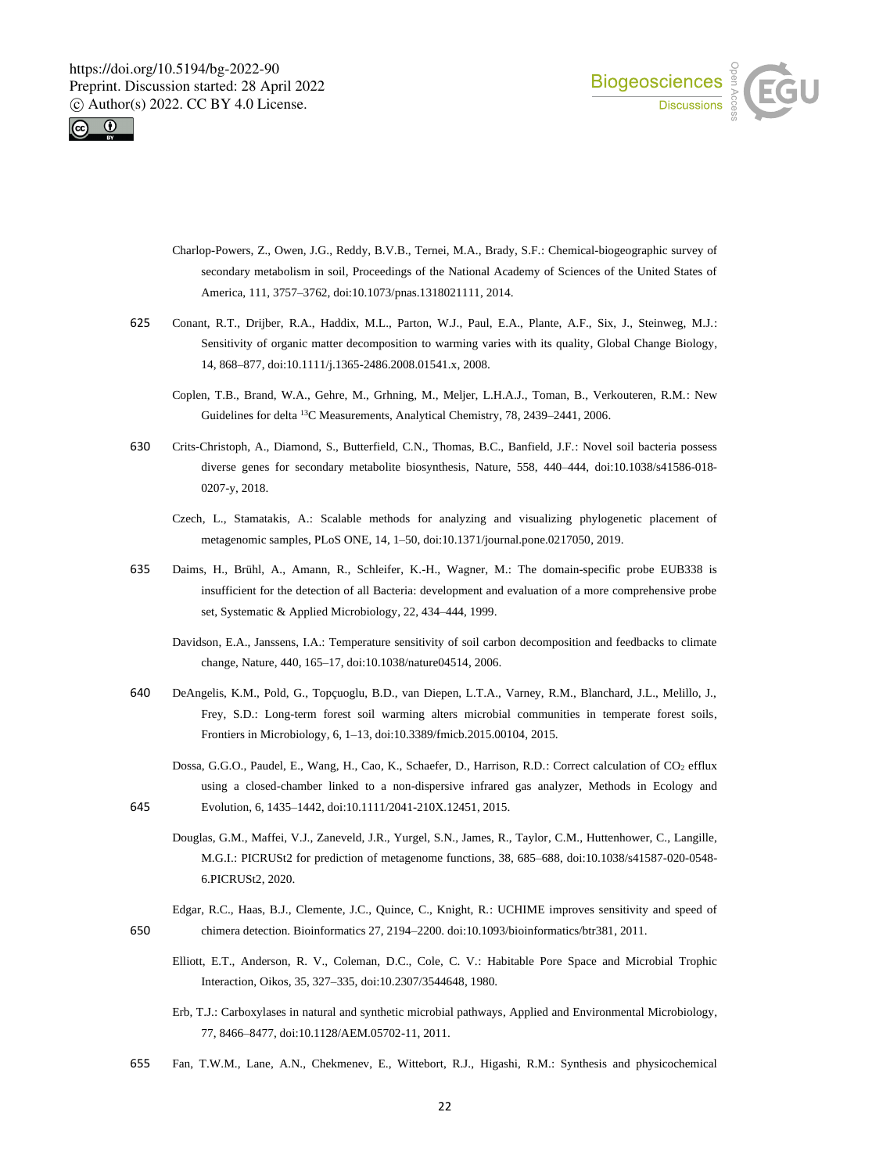



- Charlop-Powers, Z., Owen, J.G., Reddy, B.V.B., Ternei, M.A., Brady, S.F.: Chemical-biogeographic survey of secondary metabolism in soil, Proceedings of the National Academy of Sciences of the United States of America, 111, 3757–3762, doi:10.1073/pnas.1318021111, 2014.
- 625 Conant, R.T., Drijber, R.A., Haddix, M.L., Parton, W.J., Paul, E.A., Plante, A.F., Six, J., Steinweg, M.J.: Sensitivity of organic matter decomposition to warming varies with its quality, Global Change Biology, 14, 868–877, doi:10.1111/j.1365-2486.2008.01541.x, 2008.
	- Coplen, T.B., Brand, W.A., Gehre, M., Grhning, M., Meljer, L.H.A.J., Toman, B., Verkouteren, R.M.: New Guidelines for delta <sup>13</sup>C Measurements, Analytical Chemistry, 78, 2439–2441, 2006.
- 630 Crits-Christoph, A., Diamond, S., Butterfield, C.N., Thomas, B.C., Banfield, J.F.: Novel soil bacteria possess diverse genes for secondary metabolite biosynthesis, Nature, 558, 440–444, doi:10.1038/s41586-018- 0207-y, 2018.
	- Czech, L., Stamatakis, A.: Scalable methods for analyzing and visualizing phylogenetic placement of metagenomic samples, PLoS ONE, 14, 1–50, doi:10.1371/journal.pone.0217050, 2019.
- 635 Daims, H., Brühl, A., Amann, R., Schleifer, K.-H., Wagner, M.: The domain-specific probe EUB338 is insufficient for the detection of all Bacteria: development and evaluation of a more comprehensive probe set, Systematic & Applied Microbiology, 22, 434–444, 1999.
	- Davidson, E.A., Janssens, I.A.: Temperature sensitivity of soil carbon decomposition and feedbacks to climate change, Nature, 440, 165–17, doi:10.1038/nature04514, 2006.
- 640 DeAngelis, K.M., Pold, G., Topçuoglu, B.D., van Diepen, L.T.A., Varney, R.M., Blanchard, J.L., Melillo, J., Frey, S.D.: Long-term forest soil warming alters microbial communities in temperate forest soils, Frontiers in Microbiology, 6, 1–13, doi:10.3389/fmicb.2015.00104, 2015.
- Dossa, G.G.O., Paudel, E., Wang, H., Cao, K., Schaefer, D., Harrison, R.D.: Correct calculation of CO<sub>2</sub> efflux using a closed-chamber linked to a non-dispersive infrared gas analyzer, Methods in Ecology and 645 Evolution, 6, 1435–1442, doi:10.1111/2041-210X.12451, 2015.
	- Douglas, G.M., Maffei, V.J., Zaneveld, J.R., Yurgel, S.N., James, R., Taylor, C.M., Huttenhower, C., Langille, M.G.I.: PICRUSt2 for prediction of metagenome functions, 38, 685–688, doi:10.1038/s41587-020-0548- 6.PICRUSt2, 2020.
- Edgar, R.C., Haas, B.J., Clemente, J.C., Quince, C., Knight, R.: UCHIME improves sensitivity and speed of 650 chimera detection. Bioinformatics 27, 2194–2200. doi:10.1093/bioinformatics/btr381, 2011.
	- Elliott, E.T., Anderson, R. V., Coleman, D.C., Cole, C. V.: Habitable Pore Space and Microbial Trophic Interaction, Oikos, 35, 327–335, doi:10.2307/3544648, 1980.
	- Erb, T.J.: Carboxylases in natural and synthetic microbial pathways, Applied and Environmental Microbiology, 77, 8466–8477, doi:10.1128/AEM.05702-11, 2011.
- 655 Fan, T.W.M., Lane, A.N., Chekmenev, E., Wittebort, R.J., Higashi, R.M.: Synthesis and physicochemical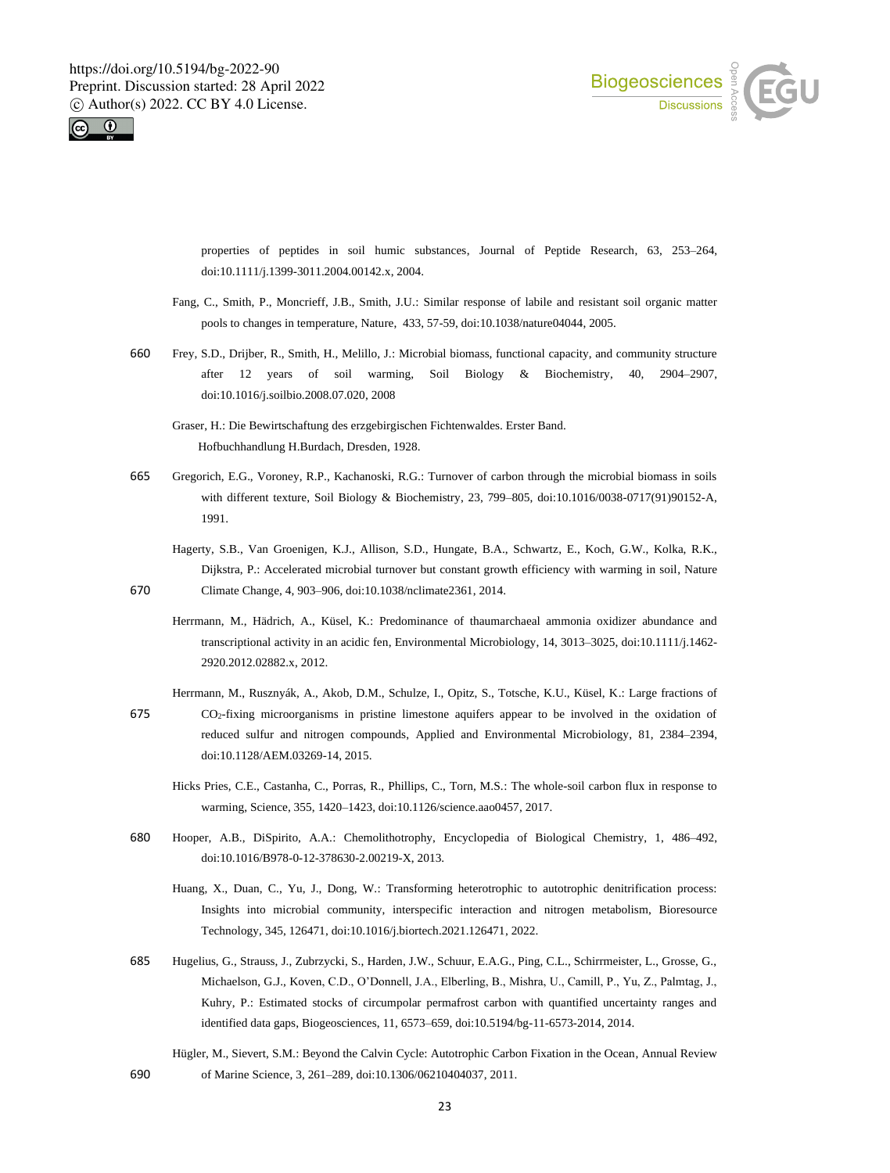



properties of peptides in soil humic substances, Journal of Peptide Research, 63, 253–264, doi:10.1111/j.1399-3011.2004.00142.x, 2004.

- Fang, C., Smith, P., Moncrieff, J.B., Smith, J.U.: Similar response of labile and resistant soil organic matter pools to changes in temperature, Nature, 433, 57-59, doi:10.1038/nature04044, 2005.
- 660 Frey, S.D., Drijber, R., Smith, H., Melillo, J.: Microbial biomass, functional capacity, and community structure after 12 years of soil warming, Soil Biology & Biochemistry, 40, 2904–2907, doi:10.1016/j.soilbio.2008.07.020, 2008
	- Graser, H.: Die Bewirtschaftung des erzgebirgischen Fichtenwaldes. Erster Band. Hofbuchhandlung H.Burdach, Dresden, 1928.
- 665 Gregorich, E.G., Voroney, R.P., Kachanoski, R.G.: Turnover of carbon through the microbial biomass in soils with different texture, Soil Biology & Biochemistry, 23, 799–805, doi:10.1016/0038-0717(91)90152-A, 1991.
- Hagerty, S.B., Van Groenigen, K.J., Allison, S.D., Hungate, B.A., Schwartz, E., Koch, G.W., Kolka, R.K., Dijkstra, P.: Accelerated microbial turnover but constant growth efficiency with warming in soil, Nature 670 Climate Change, 4, 903–906, doi:10.1038/nclimate2361, 2014.
	- Herrmann, M., Hädrich, A., Küsel, K.: Predominance of thaumarchaeal ammonia oxidizer abundance and transcriptional activity in an acidic fen, Environmental Microbiology, 14, 3013–3025, doi:10.1111/j.1462- 2920.2012.02882.x, 2012.
- Herrmann, M., Rusznyák, A., Akob, D.M., Schulze, I., Opitz, S., Totsche, K.U., Küsel, K.: Large fractions of 675 CO2-fixing microorganisms in pristine limestone aquifers appear to be involved in the oxidation of reduced sulfur and nitrogen compounds, Applied and Environmental Microbiology, 81, 2384–2394, doi:10.1128/AEM.03269-14, 2015.
	- Hicks Pries, C.E., Castanha, C., Porras, R., Phillips, C., Torn, M.S.: The whole-soil carbon flux in response to warming, Science, 355, 1420–1423, doi:10.1126/science.aao0457, 2017.
- 680 Hooper, A.B., DiSpirito, A.A.: Chemolithotrophy, Encyclopedia of Biological Chemistry, 1, 486–492, doi:10.1016/B978-0-12-378630-2.00219-X, 2013.
	- Huang, X., Duan, C., Yu, J., Dong, W.: Transforming heterotrophic to autotrophic denitrification process: Insights into microbial community, interspecific interaction and nitrogen metabolism, Bioresource Technology, 345, 126471, doi:10.1016/j.biortech.2021.126471, 2022.
- 685 Hugelius, G., Strauss, J., Zubrzycki, S., Harden, J.W., Schuur, E.A.G., Ping, C.L., Schirrmeister, L., Grosse, G., Michaelson, G.J., Koven, C.D., O'Donnell, J.A., Elberling, B., Mishra, U., Camill, P., Yu, Z., Palmtag, J., Kuhry, P.: Estimated stocks of circumpolar permafrost carbon with quantified uncertainty ranges and identified data gaps, Biogeosciences, 11, 6573–659, doi:10.5194/bg-11-6573-2014, 2014.
- Hügler, M., Sievert, S.M.: Beyond the Calvin Cycle: Autotrophic Carbon Fixation in the Ocean, Annual Review 690 of Marine Science, 3, 261–289, doi:10.1306/06210404037, 2011.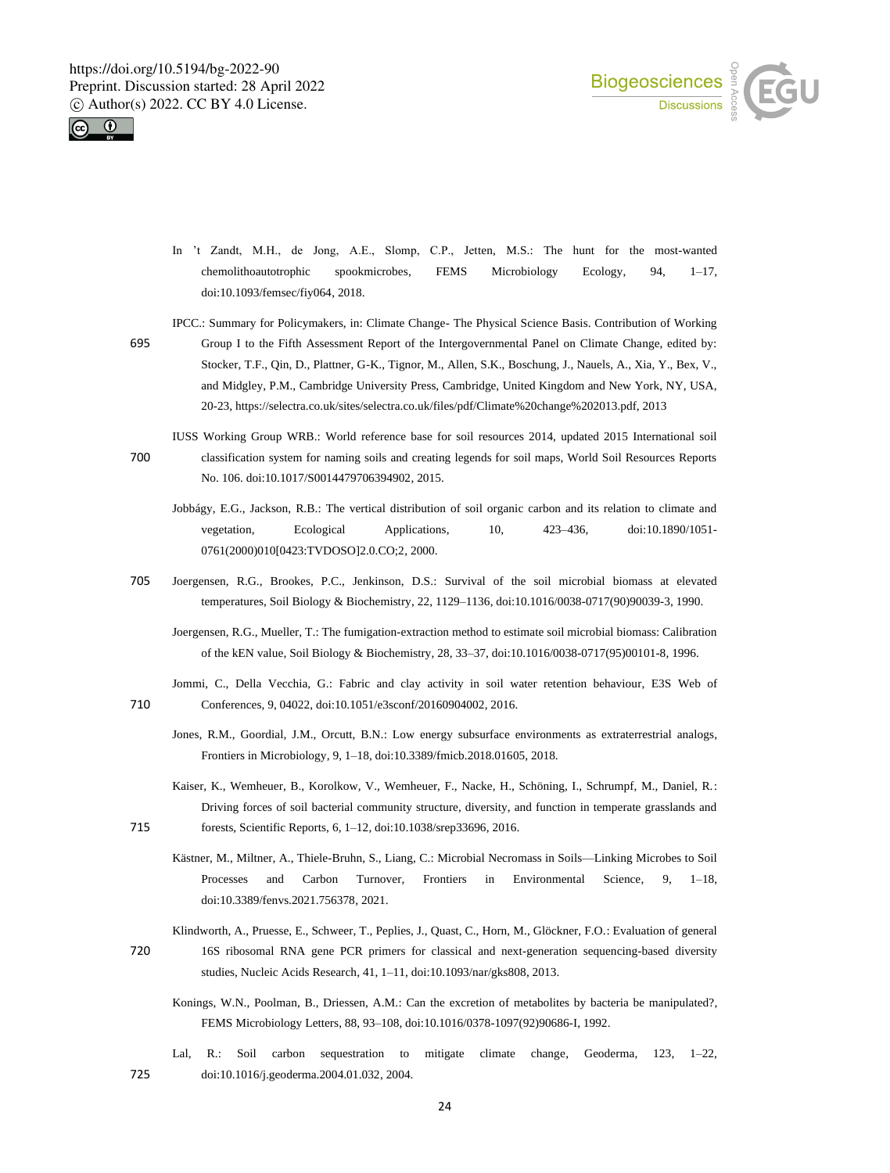



- In 't Zandt, M.H., de Jong, A.E., Slomp, C.P., Jetten, M.S.: The hunt for the most-wanted chemolithoautotrophic spookmicrobes, FEMS Microbiology Ecology, 94, 1–17, doi:10.1093/femsec/fiy064, 2018.
- IPCC.: Summary for Policymakers, in: Climate Change- The Physical Science Basis. Contribution of Working
- 695 Group I to the Fifth Assessment Report of the Intergovernmental Panel on Climate Change, edited by: Stocker, T.F., Qin, D., Plattner, G-K., Tignor, M., Allen, S.K., Boschung, J., Nauels, A., Xia, Y., Bex, V., and Midgley, P.M., Cambridge University Press, Cambridge, United Kingdom and New York, NY, USA, 20-23, https://selectra.co.uk/sites/selectra.co.uk/files/pdf/Climate%20change%202013.pdf, 2013
- IUSS Working Group WRB.: World reference base for soil resources 2014, updated 2015 International soil 700 classification system for naming soils and creating legends for soil maps, World Soil Resources Reports No. 106. doi:10.1017/S0014479706394902, 2015.
	- Jobbágy, E.G., Jackson, R.B.: The vertical distribution of soil organic carbon and its relation to climate and vegetation, Ecological Applications, 10, 423–436, doi:10.1890/1051- 0761(2000)010[0423:TVDOSO]2.0.CO;2, 2000.
- 705 Joergensen, R.G., Brookes, P.C., Jenkinson, D.S.: Survival of the soil microbial biomass at elevated temperatures, Soil Biology & Biochemistry, 22, 1129–1136, doi:10.1016/0038-0717(90)90039-3, 1990.
	- Joergensen, R.G., Mueller, T.: The fumigation-extraction method to estimate soil microbial biomass: Calibration of the kEN value, Soil Biology & Biochemistry, 28, 33–37, doi:10.1016/0038-0717(95)00101-8, 1996.
- Jommi, C., Della Vecchia, G.: Fabric and clay activity in soil water retention behaviour, E3S Web of 710 Conferences, 9, 04022, doi:10.1051/e3sconf/20160904002, 2016.
	- Jones, R.M., Goordial, J.M., Orcutt, B.N.: Low energy subsurface environments as extraterrestrial analogs, Frontiers in Microbiology, 9, 1–18, doi:10.3389/fmicb.2018.01605, 2018.
- Kaiser, K., Wemheuer, B., Korolkow, V., Wemheuer, F., Nacke, H., Schöning, I., Schrumpf, M., Daniel, R.: Driving forces of soil bacterial community structure, diversity, and function in temperate grasslands and 715 forests, Scientific Reports, 6, 1–12, doi:10.1038/srep33696, 2016.
	- Kästner, M., Miltner, A., Thiele-Bruhn, S., Liang, C.: Microbial Necromass in Soils—Linking Microbes to Soil Processes and Carbon Turnover, Frontiers in Environmental Science, 9, 1–18, doi:10.3389/fenvs.2021.756378, 2021.
- Klindworth, A., Pruesse, E., Schweer, T., Peplies, J., Quast, C., Horn, M., Glöckner, F.O.: Evaluation of general 720 16S ribosomal RNA gene PCR primers for classical and next-generation sequencing-based diversity studies, Nucleic Acids Research, 41, 1–11, doi:10.1093/nar/gks808, 2013.
	- Konings, W.N., Poolman, B., Driessen, A.M.: Can the excretion of metabolites by bacteria be manipulated?, FEMS Microbiology Letters, 88, 93–108, doi:10.1016/0378-1097(92)90686-I, 1992.
- Lal, R.: Soil carbon sequestration to mitigate climate change, Geoderma, 123, 1–22, 725 doi:10.1016/j.geoderma.2004.01.032, 2004.

24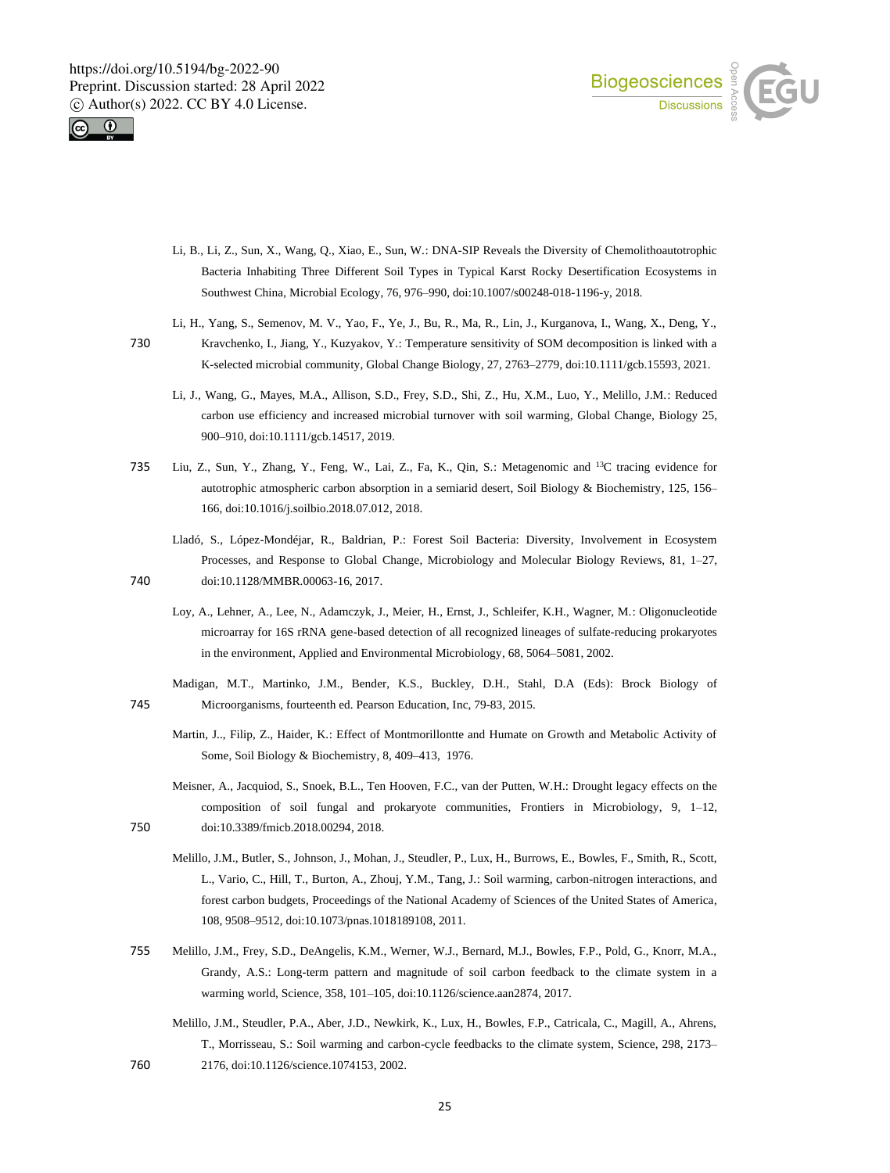



- Li, B., Li, Z., Sun, X., Wang, Q., Xiao, E., Sun, W.: DNA-SIP Reveals the Diversity of Chemolithoautotrophic Bacteria Inhabiting Three Different Soil Types in Typical Karst Rocky Desertification Ecosystems in Southwest China, Microbial Ecology, 76, 976–990, doi:10.1007/s00248-018-1196-y, 2018.
- Li, H., Yang, S., Semenov, M. V., Yao, F., Ye, J., Bu, R., Ma, R., Lin, J., Kurganova, I., Wang, X., Deng, Y.,
- 730 Kravchenko, I., Jiang, Y., Kuzyakov, Y.: Temperature sensitivity of SOM decomposition is linked with a K-selected microbial community, Global Change Biology, 27, 2763–2779, doi:10.1111/gcb.15593, 2021.
	- Li, J., Wang, G., Mayes, M.A., Allison, S.D., Frey, S.D., Shi, Z., Hu, X.M., Luo, Y., Melillo, J.M.: Reduced carbon use efficiency and increased microbial turnover with soil warming, Global Change, Biology 25, 900–910, doi:10.1111/gcb.14517, 2019.
- 735 Liu, Z., Sun, Y., Zhang, Y., Feng, W., Lai, Z., Fa, K., Qin, S.: Metagenomic and <sup>13</sup>C tracing evidence for autotrophic atmospheric carbon absorption in a semiarid desert, Soil Biology & Biochemistry, 125, 156– 166, doi:10.1016/j.soilbio.2018.07.012, 2018.
- Lladó, S., López-Mondéjar, R., Baldrian, P.: Forest Soil Bacteria: Diversity, Involvement in Ecosystem Processes, and Response to Global Change, Microbiology and Molecular Biology Reviews, 81, 1–27, 740 doi:10.1128/MMBR.00063-16, 2017.
	- Loy, A., Lehner, A., Lee, N., Adamczyk, J., Meier, H., Ernst, J., Schleifer, K.H., Wagner, M.: Oligonucleotide microarray for 16S rRNA gene-based detection of all recognized lineages of sulfate-reducing prokaryotes in the environment, Applied and Environmental Microbiology, 68, 5064–5081, 2002.
- Madigan, M.T., Martinko, J.M., Bender, K.S., Buckley, D.H., Stahl, D.A (Eds): Brock Biology of 745 Microorganisms, fourteenth ed. Pearson Education, Inc, 79-83, 2015.
	- Martin, J.., Filip, Z., Haider, K.: Effect of Montmorillontte and Humate on Growth and Metabolic Activity of Some, Soil Biology & Biochemistry, 8, 409–413, 1976.
- Meisner, A., Jacquiod, S., Snoek, B.L., Ten Hooven, F.C., van der Putten, W.H.: Drought legacy effects on the composition of soil fungal and prokaryote communities, Frontiers in Microbiology, 9, 1–12, 750 doi:10.3389/fmicb.2018.00294, 2018.
	- Melillo, J.M., Butler, S., Johnson, J., Mohan, J., Steudler, P., Lux, H., Burrows, E., Bowles, F., Smith, R., Scott, L., Vario, C., Hill, T., Burton, A., Zhouj, Y.M., Tang, J.: Soil warming, carbon-nitrogen interactions, and forest carbon budgets, Proceedings of the National Academy of Sciences of the United States of America, 108, 9508–9512, doi:10.1073/pnas.1018189108, 2011.
- 755 Melillo, J.M., Frey, S.D., DeAngelis, K.M., Werner, W.J., Bernard, M.J., Bowles, F.P., Pold, G., Knorr, M.A., Grandy, A.S.: Long-term pattern and magnitude of soil carbon feedback to the climate system in a warming world, Science, 358, 101–105, doi:10.1126/science.aan2874, 2017.
- Melillo, J.M., Steudler, P.A., Aber, J.D., Newkirk, K., Lux, H., Bowles, F.P., Catricala, C., Magill, A., Ahrens, T., Morrisseau, S.: Soil warming and carbon-cycle feedbacks to the climate system, Science, 298, 2173– 760 2176, doi:10.1126/science.1074153, 2002.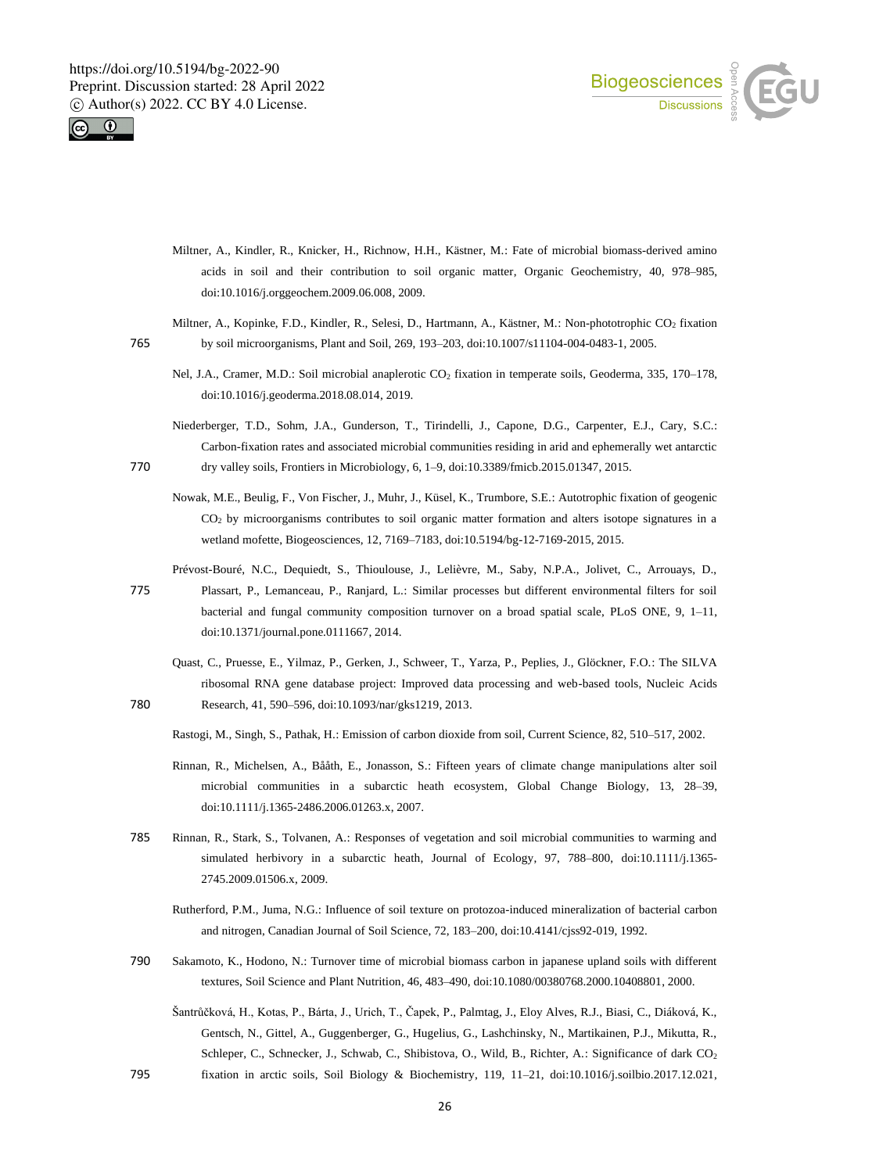



- Miltner, A., Kindler, R., Knicker, H., Richnow, H.H., Kästner, M.: Fate of microbial biomass-derived amino acids in soil and their contribution to soil organic matter, Organic Geochemistry, 40, 978–985, doi:10.1016/j.orggeochem.2009.06.008, 2009.
- Miltner, A., Kopinke, F.D., Kindler, R., Selesi, D., Hartmann, A., Kästner, M.: Non-phototrophic CO<sup>2</sup> fixation 765 by soil microorganisms, Plant and Soil, 269, 193–203, doi:10.1007/s11104-004-0483-1, 2005.
	- Nel, J.A., Cramer, M.D.: Soil microbial anaplerotic CO<sub>2</sub> fixation in temperate soils, Geoderma, 335, 170-178, doi:10.1016/j.geoderma.2018.08.014, 2019.
- Niederberger, T.D., Sohm, J.A., Gunderson, T., Tirindelli, J., Capone, D.G., Carpenter, E.J., Cary, S.C.: Carbon-fixation rates and associated microbial communities residing in arid and ephemerally wet antarctic 770 dry valley soils, Frontiers in Microbiology, 6, 1–9, doi:10.3389/fmicb.2015.01347, 2015.
	- Nowak, M.E., Beulig, F., Von Fischer, J., Muhr, J., Küsel, K., Trumbore, S.E.: Autotrophic fixation of geogenic CO<sup>2</sup> by microorganisms contributes to soil organic matter formation and alters isotope signatures in a wetland mofette, Biogeosciences, 12, 7169–7183, doi:10.5194/bg-12-7169-2015, 2015.
	- Prévost-Bouré, N.C., Dequiedt, S., Thioulouse, J., Lelièvre, M., Saby, N.P.A., Jolivet, C., Arrouays, D.,
- 775 Plassart, P., Lemanceau, P., Ranjard, L.: Similar processes but different environmental filters for soil bacterial and fungal community composition turnover on a broad spatial scale, PLoS ONE, 9, 1–11, doi:10.1371/journal.pone.0111667, 2014.
- Quast, C., Pruesse, E., Yilmaz, P., Gerken, J., Schweer, T., Yarza, P., Peplies, J., Glöckner, F.O.: The SILVA ribosomal RNA gene database project: Improved data processing and web-based tools, Nucleic Acids 780 Research, 41, 590–596, doi:10.1093/nar/gks1219, 2013.
	- Rastogi, M., Singh, S., Pathak, H.: Emission of carbon dioxide from soil, Current Science, 82, 510–517, 2002.
	- Rinnan, R., Michelsen, A., Bååth, E., Jonasson, S.: Fifteen years of climate change manipulations alter soil microbial communities in a subarctic heath ecosystem, Global Change Biology, 13, 28–39, doi:10.1111/j.1365-2486.2006.01263.x, 2007.
- 785 Rinnan, R., Stark, S., Tolvanen, A.: Responses of vegetation and soil microbial communities to warming and simulated herbivory in a subarctic heath, Journal of Ecology, 97, 788–800, doi:10.1111/j.1365- 2745.2009.01506.x, 2009.
	- Rutherford, P.M., Juma, N.G.: Influence of soil texture on protozoa-induced mineralization of bacterial carbon and nitrogen, Canadian Journal of Soil Science, 72, 183–200, doi:10.4141/cjss92-019, 1992.
- 790 Sakamoto, K., Hodono, N.: Turnover time of microbial biomass carbon in japanese upland soils with different textures, Soil Science and Plant Nutrition, 46, 483–490, doi:10.1080/00380768.2000.10408801, 2000.
	- Šantrůčková, H., Kotas, P., Bárta, J., Urich, T., Čapek, P., Palmtag, J., Eloy Alves, R.J., Biasi, C., Diáková, K., Gentsch, N., Gittel, A., Guggenberger, G., Hugelius, G., Lashchinsky, N., Martikainen, P.J., Mikutta, R., Schleper, C., Schnecker, J., Schwab, C., Shibistova, O., Wild, B., Richter, A.: Significance of dark CO<sub>2</sub>
- 795 fixation in arctic soils, Soil Biology & Biochemistry, 119, 11–21, doi:10.1016/j.soilbio.2017.12.021,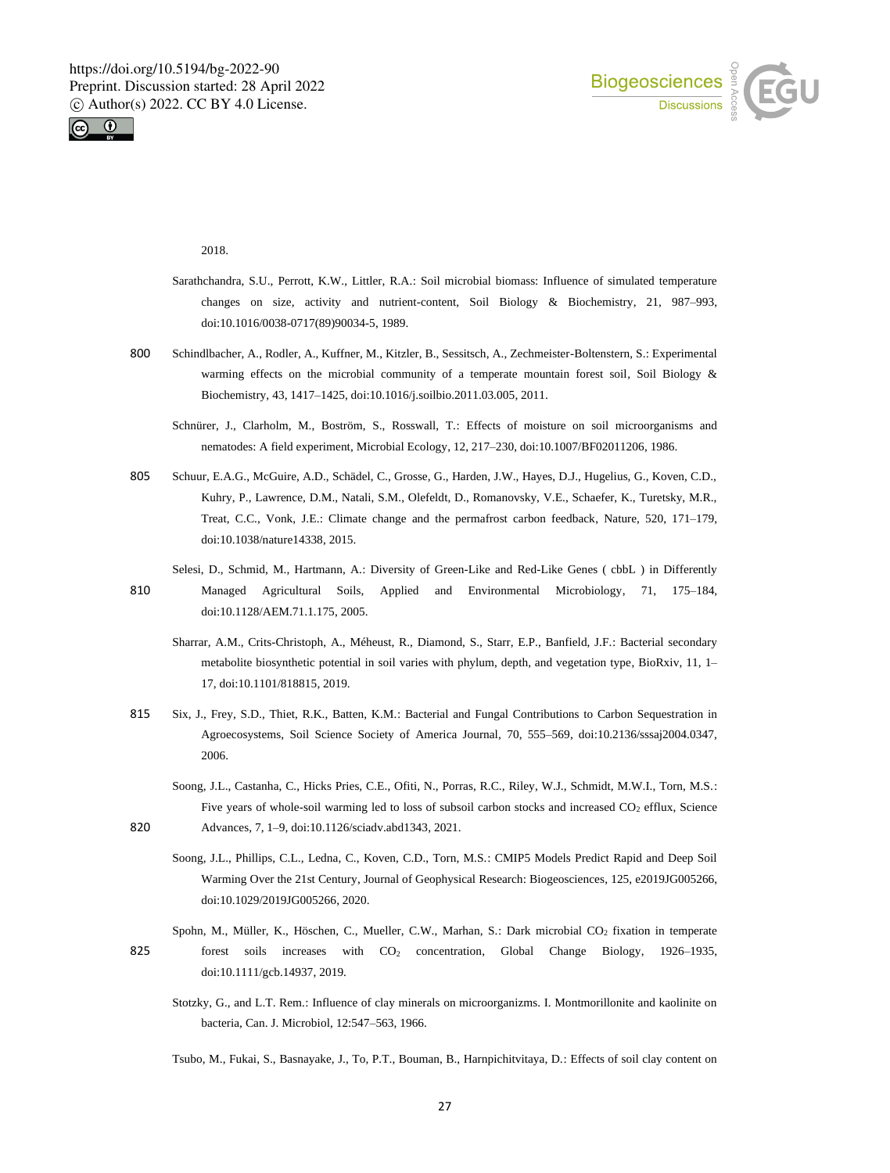



2018.

- Sarathchandra, S.U., Perrott, K.W., Littler, R.A.: Soil microbial biomass: Influence of simulated temperature changes on size, activity and nutrient-content, Soil Biology & Biochemistry, 21, 987–993, doi:10.1016/0038-0717(89)90034-5, 1989.
- 800 Schindlbacher, A., Rodler, A., Kuffner, M., Kitzler, B., Sessitsch, A., Zechmeister-Boltenstern, S.: Experimental warming effects on the microbial community of a temperate mountain forest soil, Soil Biology & Biochemistry, 43, 1417–1425, doi:10.1016/j.soilbio.2011.03.005, 2011.
	- Schnürer, J., Clarholm, M., Boström, S., Rosswall, T.: Effects of moisture on soil microorganisms and nematodes: A field experiment, Microbial Ecology, 12, 217–230, doi:10.1007/BF02011206, 1986.
- 805 Schuur, E.A.G., McGuire, A.D., Schädel, C., Grosse, G., Harden, J.W., Hayes, D.J., Hugelius, G., Koven, C.D., Kuhry, P., Lawrence, D.M., Natali, S.M., Olefeldt, D., Romanovsky, V.E., Schaefer, K., Turetsky, M.R., Treat, C.C., Vonk, J.E.: Climate change and the permafrost carbon feedback, Nature, 520, 171–179, doi:10.1038/nature14338, 2015.
	- Selesi, D., Schmid, M., Hartmann, A.: Diversity of Green-Like and Red-Like Genes ( cbbL ) in Differently
- 810 Managed Agricultural Soils, Applied and Environmental Microbiology, 71, 175–184, doi:10.1128/AEM.71.1.175, 2005.
	- Sharrar, A.M., Crits-Christoph, A., Méheust, R., Diamond, S., Starr, E.P., Banfield, J.F.: Bacterial secondary metabolite biosynthetic potential in soil varies with phylum, depth, and vegetation type, BioRxiv, 11, 1– 17, doi:10.1101/818815, 2019.
- 815 Six, J., Frey, S.D., Thiet, R.K., Batten, K.M.: Bacterial and Fungal Contributions to Carbon Sequestration in Agroecosystems, Soil Science Society of America Journal, 70, 555-569, doi:10.2136/sssaj2004.0347, 2006.
- Soong, J.L., Castanha, C., Hicks Pries, C.E., Ofiti, N., Porras, R.C., Riley, W.J., Schmidt, M.W.I., Torn, M.S.: Five years of whole-soil warming led to loss of subsoil carbon stocks and increased CO<sub>2</sub> efflux, Science 820 Advances, 7, 1–9, doi:10.1126/sciadv.abd1343, 2021.
	- Soong, J.L., Phillips, C.L., Ledna, C., Koven, C.D., Torn, M.S.: CMIP5 Models Predict Rapid and Deep Soil Warming Over the 21st Century, Journal of Geophysical Research: Biogeosciences, 125, e2019JG005266, doi:10.1029/2019JG005266, 2020.
- Spohn, M., Müller, K., Höschen, C., Mueller, C.W., Marhan, S.: Dark microbial CO<sub>2</sub> fixation in temperate 825 forest soils increases with CO<sub>2</sub> concentration, Global Change Biology, 1926–1935, doi:10.1111/gcb.14937, 2019.
	- Stotzky, G., and L.T. Rem.: Influence of clay minerals on microorganizms. I. Montmorillonite and kaolinite on bacteria, Can. J. Microbiol, 12:547–563, 1966.
	- Tsubo, M., Fukai, S., Basnayake, J., To, P.T., Bouman, B., Harnpichitvitaya, D.: Effects of soil clay content on